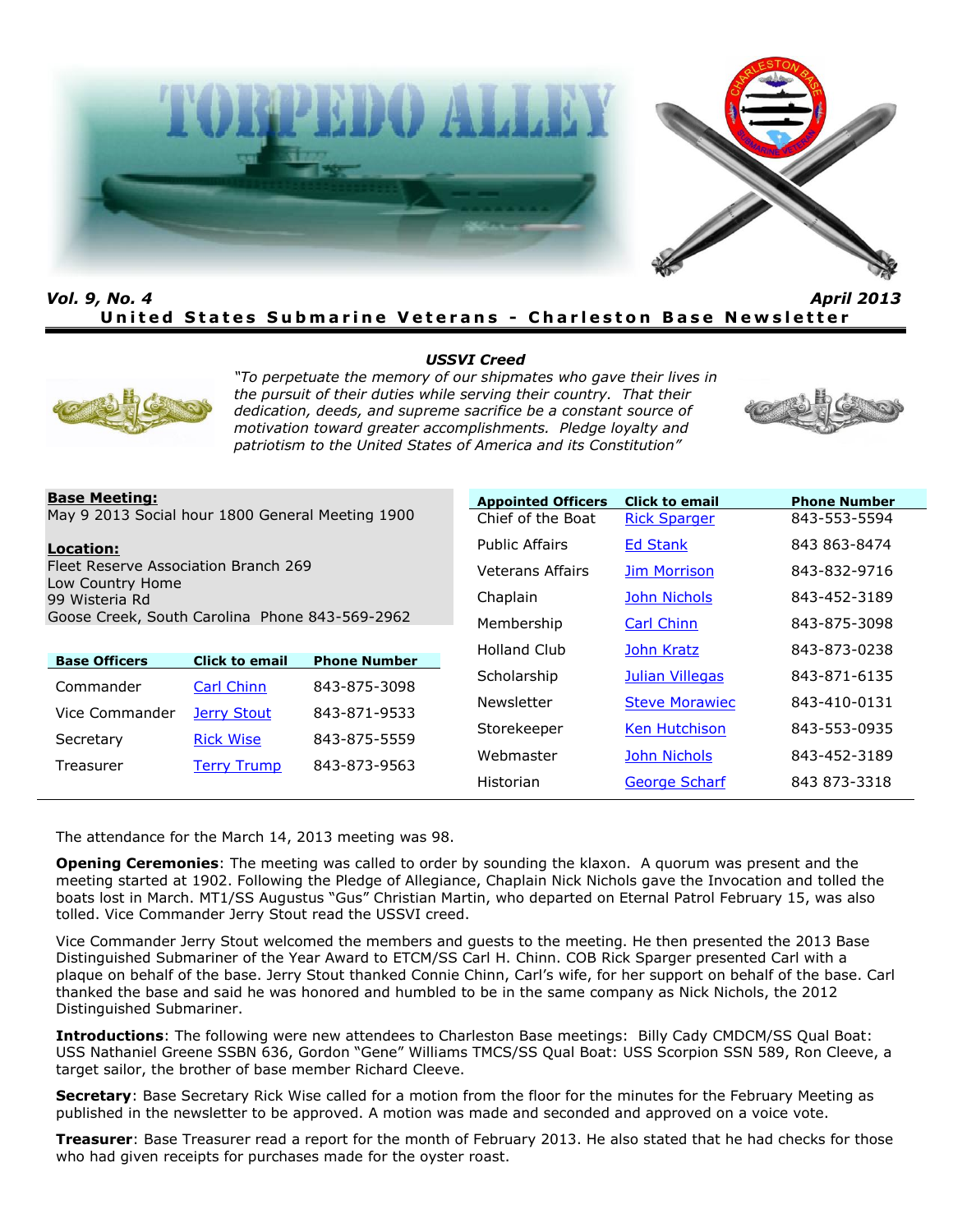

*Vol. 9, No. 4 April 2013* **United States Submarine Veterans - Charleston Base Newsletter** 

#### *USSVI Creed*



*"To perpetuate the memory of our shipmates who gave their lives in the pursuit of their duties while serving their country. That their dedication, deeds, and supreme sacrifice be a constant source of motivation toward greater accomplishments. Pledge loyalty and patriotism to the United States of America and its Constitution"*



| <b>Base Meeting:</b>                                     |                       |                     | <b>Appointed Officers</b> | <b>Click to email</b>  | <b>Phone Number</b> |
|----------------------------------------------------------|-----------------------|---------------------|---------------------------|------------------------|---------------------|
| May 9 2013 Social hour 1800 General Meeting 1900         |                       |                     | Chief of the Boat         | <b>Rick Sparger</b>    | 843-553-5594        |
| Location:                                                |                       |                     | <b>Public Affairs</b>     | <b>Ed Stank</b>        | 843 863-8474        |
| Fleet Reserve Association Branch 269<br>Low Country Home |                       |                     | <b>Veterans Affairs</b>   | <b>Jim Morrison</b>    | 843-832-9716        |
| 99 Wisteria Rd                                           |                       |                     | Chaplain                  | John Nichols           | 843-452-3189        |
| Goose Creek, South Carolina Phone 843-569-2962           |                       |                     | Membership                | <b>Carl Chinn</b>      | 843-875-3098        |
|                                                          |                       |                     | <b>Holland Club</b>       | John Kratz             | 843-873-0238        |
| <b>Base Officers</b>                                     | <b>Click to email</b> | <b>Phone Number</b> | Scholarship               | <b>Julian Villegas</b> | 843-871-6135        |
| Commander                                                | <b>Carl Chinn</b>     | 843-875-3098        |                           |                        |                     |
| Vice Commander                                           | <b>Jerry Stout</b>    | 843-871-9533        | Newsletter                | <b>Steve Morawiec</b>  | 843-410-0131        |
|                                                          |                       |                     | Storekeeper               | <b>Ken Hutchison</b>   | 843-553-0935        |
| Secretary                                                | <b>Rick Wise</b>      | 843-875-5559        |                           |                        |                     |
| Treasurer                                                | <b>Terry Trump</b>    | 843-873-9563        | Webmaster                 | John Nichols           | 843-452-3189        |
|                                                          |                       |                     | Historian                 | <b>George Scharf</b>   | 843 873-3318        |

The attendance for the March 14, 2013 meeting was 98.

**Opening Ceremonies**: The meeting was called to order by sounding the klaxon. A quorum was present and the meeting started at 1902. Following the Pledge of Allegiance, Chaplain Nick Nichols gave the Invocation and tolled the boats lost in March. MT1/SS Augustus "Gus" Christian Martin, who departed on Eternal Patrol February 15, was also tolled. Vice Commander Jerry Stout read the USSVI creed.

Vice Commander Jerry Stout welcomed the members and guests to the meeting. He then presented the 2013 Base Distinguished Submariner of the Year Award to ETCM/SS Carl H. Chinn. COB Rick Sparger presented Carl with a plaque on behalf of the base. Jerry Stout thanked Connie Chinn, Carl's wife, for her support on behalf of the base. Carl thanked the base and said he was honored and humbled to be in the same company as Nick Nichols, the 2012 Distinguished Submariner.

**Introductions**: The following were new attendees to Charleston Base meetings: Billy Cady CMDCM/SS Qual Boat: USS Nathaniel Greene SSBN 636, Gordon "Gene" Williams TMCS/SS Qual Boat: USS Scorpion SSN 589, Ron Cleeve, a target sailor, the brother of base member Richard Cleeve.

**Secretary**: Base Secretary Rick Wise called for a motion from the floor for the minutes for the February Meeting as published in the newsletter to be approved. A motion was made and seconded and approved on a voice vote.

**Treasurer**: Base Treasurer read a report for the month of February 2013. He also stated that he had checks for those who had given receipts for purchases made for the oyster roast.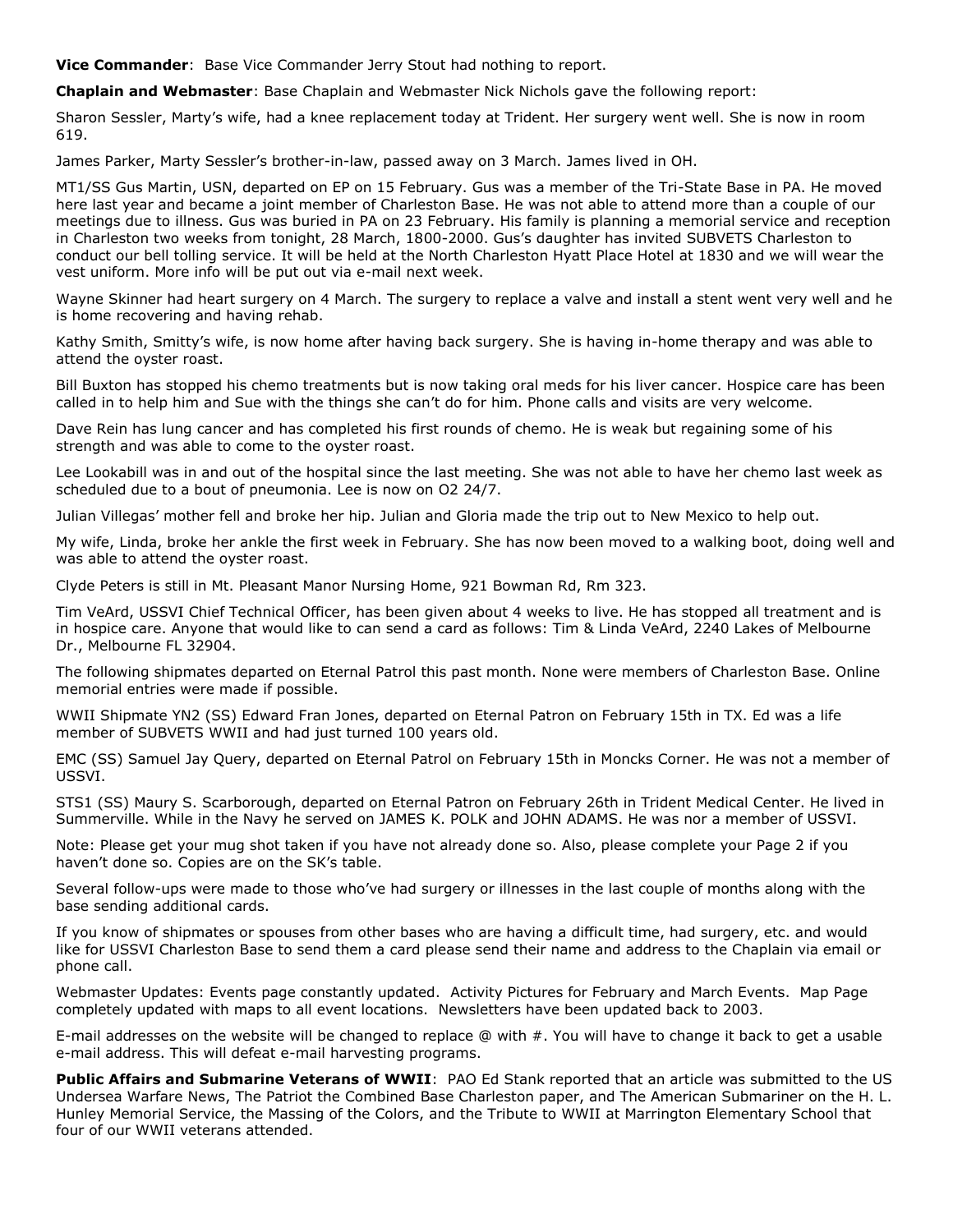**Vice Commander**: Base Vice Commander Jerry Stout had nothing to report.

**Chaplain and Webmaster**: Base Chaplain and Webmaster Nick Nichols gave the following report:

Sharon Sessler, Marty's wife, had a knee replacement today at Trident. Her surgery went well. She is now in room 619.

James Parker, Marty Sessler's brother-in-law, passed away on 3 March. James lived in OH.

MT1/SS Gus Martin, USN, departed on EP on 15 February. Gus was a member of the Tri-State Base in PA. He moved here last year and became a joint member of Charleston Base. He was not able to attend more than a couple of our meetings due to illness. Gus was buried in PA on 23 February. His family is planning a memorial service and reception in Charleston two weeks from tonight, 28 March, 1800-2000. Gus's daughter has invited SUBVETS Charleston to conduct our bell tolling service. It will be held at the North Charleston Hyatt Place Hotel at 1830 and we will wear the vest uniform. More info will be put out via e-mail next week.

Wayne Skinner had heart surgery on 4 March. The surgery to replace a valve and install a stent went very well and he is home recovering and having rehab.

Kathy Smith, Smitty's wife, is now home after having back surgery. She is having in-home therapy and was able to attend the oyster roast.

Bill Buxton has stopped his chemo treatments but is now taking oral meds for his liver cancer. Hospice care has been called in to help him and Sue with the things she can't do for him. Phone calls and visits are very welcome.

Dave Rein has lung cancer and has completed his first rounds of chemo. He is weak but regaining some of his strength and was able to come to the oyster roast.

Lee Lookabill was in and out of the hospital since the last meeting. She was not able to have her chemo last week as scheduled due to a bout of pneumonia. Lee is now on O2 24/7.

Julian Villegas' mother fell and broke her hip. Julian and Gloria made the trip out to New Mexico to help out.

My wife, Linda, broke her ankle the first week in February. She has now been moved to a walking boot, doing well and was able to attend the oyster roast.

Clyde Peters is still in Mt. Pleasant Manor Nursing Home, 921 Bowman Rd, Rm 323.

Tim VeArd, USSVI Chief Technical Officer, has been given about 4 weeks to live. He has stopped all treatment and is in hospice care. Anyone that would like to can send a card as follows: Tim & Linda VeArd, 2240 Lakes of Melbourne Dr., Melbourne FL 32904.

The following shipmates departed on Eternal Patrol this past month. None were members of Charleston Base. Online memorial entries were made if possible.

WWII Shipmate YN2 (SS) Edward Fran Jones, departed on Eternal Patron on February 15th in TX. Ed was a life member of SUBVETS WWII and had just turned 100 years old.

EMC (SS) Samuel Jay Query, departed on Eternal Patrol on February 15th in Moncks Corner. He was not a member of USSVI.

STS1 (SS) Maury S. Scarborough, departed on Eternal Patron on February 26th in Trident Medical Center. He lived in Summerville. While in the Navy he served on JAMES K. POLK and JOHN ADAMS. He was nor a member of USSVI.

Note: Please get your mug shot taken if you have not already done so. Also, please complete your Page 2 if you haven't done so. Copies are on the SK's table.

Several follow-ups were made to those who've had surgery or illnesses in the last couple of months along with the base sending additional cards.

If you know of shipmates or spouses from other bases who are having a difficult time, had surgery, etc. and would like for USSVI Charleston Base to send them a card please send their name and address to the Chaplain via email or phone call.

Webmaster Updates: Events page constantly updated. Activity Pictures for February and March Events. Map Page completely updated with maps to all event locations. Newsletters have been updated back to 2003.

E-mail addresses on the website will be changed to replace @ with #. You will have to change it back to get a usable e-mail address. This will defeat e-mail harvesting programs.

**Public Affairs and Submarine Veterans of WWII**: PAO Ed Stank reported that an article was submitted to the US Undersea Warfare News, The Patriot the Combined Base Charleston paper, and The American Submariner on the H. L. Hunley Memorial Service, the Massing of the Colors, and the Tribute to WWII at Marrington Elementary School that four of our WWII veterans attended.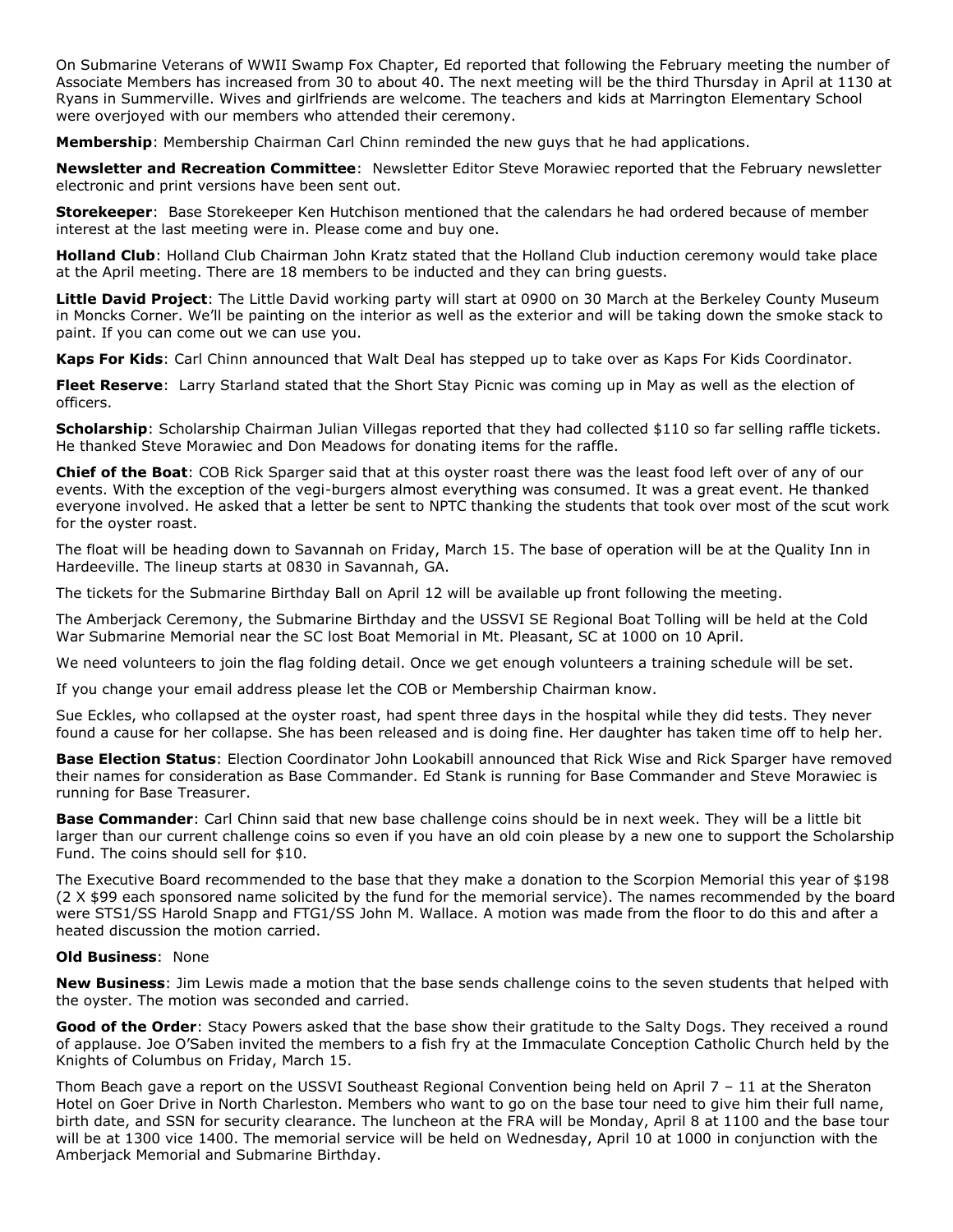On Submarine Veterans of WWII Swamp Fox Chapter, Ed reported that following the February meeting the number of Associate Members has increased from 30 to about 40. The next meeting will be the third Thursday in April at 1130 at Ryans in Summerville. Wives and girlfriends are welcome. The teachers and kids at Marrington Elementary School were overjoyed with our members who attended their ceremony.

**Membership**: Membership Chairman Carl Chinn reminded the new guys that he had applications.

**Newsletter and Recreation Committee**: Newsletter Editor Steve Morawiec reported that the February newsletter electronic and print versions have been sent out.

**Storekeeper**: Base Storekeeper Ken Hutchison mentioned that the calendars he had ordered because of member interest at the last meeting were in. Please come and buy one.

**Holland Club**: Holland Club Chairman John Kratz stated that the Holland Club induction ceremony would take place at the April meeting. There are 18 members to be inducted and they can bring guests.

**Little David Project**: The Little David working party will start at 0900 on 30 March at the Berkeley County Museum in Moncks Corner. We'll be painting on the interior as well as the exterior and will be taking down the smoke stack to paint. If you can come out we can use you.

**Kaps For Kids**: Carl Chinn announced that Walt Deal has stepped up to take over as Kaps For Kids Coordinator.

**Fleet Reserve**: Larry Starland stated that the Short Stay Picnic was coming up in May as well as the election of officers.

**Scholarship**: Scholarship Chairman Julian Villegas reported that they had collected \$110 so far selling raffle tickets. He thanked Steve Morawiec and Don Meadows for donating items for the raffle.

**Chief of the Boat**: COB Rick Sparger said that at this oyster roast there was the least food left over of any of our events. With the exception of the vegi-burgers almost everything was consumed. It was a great event. He thanked everyone involved. He asked that a letter be sent to NPTC thanking the students that took over most of the scut work for the oyster roast.

The float will be heading down to Savannah on Friday, March 15. The base of operation will be at the Quality Inn in Hardeeville. The lineup starts at 0830 in Savannah, GA.

The tickets for the Submarine Birthday Ball on April 12 will be available up front following the meeting.

The Amberjack Ceremony, the Submarine Birthday and the USSVI SE Regional Boat Tolling will be held at the Cold War Submarine Memorial near the SC lost Boat Memorial in Mt. Pleasant, SC at 1000 on 10 April.

We need volunteers to join the flag folding detail. Once we get enough volunteers a training schedule will be set.

If you change your email address please let the COB or Membership Chairman know.

Sue Eckles, who collapsed at the oyster roast, had spent three days in the hospital while they did tests. They never found a cause for her collapse. She has been released and is doing fine. Her daughter has taken time off to help her.

**Base Election Status**: Election Coordinator John Lookabill announced that Rick Wise and Rick Sparger have removed their names for consideration as Base Commander. Ed Stank is running for Base Commander and Steve Morawiec is running for Base Treasurer.

**Base Commander**: Carl Chinn said that new base challenge coins should be in next week. They will be a little bit larger than our current challenge coins so even if you have an old coin please by a new one to support the Scholarship Fund. The coins should sell for \$10.

The Executive Board recommended to the base that they make a donation to the Scorpion Memorial this year of \$198 (2 X \$99 each sponsored name solicited by the fund for the memorial service). The names recommended by the board were STS1/SS Harold Snapp and FTG1/SS John M. Wallace. A motion was made from the floor to do this and after a heated discussion the motion carried.

### **Old Business**: None

**New Business**: Jim Lewis made a motion that the base sends challenge coins to the seven students that helped with the oyster. The motion was seconded and carried.

**Good of the Order**: Stacy Powers asked that the base show their gratitude to the Salty Dogs. They received a round of applause. Joe O'Saben invited the members to a fish fry at the Immaculate Conception Catholic Church held by the Knights of Columbus on Friday, March 15.

Thom Beach gave a report on the USSVI Southeast Regional Convention being held on April 7 – 11 at the Sheraton Hotel on Goer Drive in North Charleston. Members who want to go on the base tour need to give him their full name, birth date, and SSN for security clearance. The luncheon at the FRA will be Monday, April 8 at 1100 and the base tour will be at 1300 vice 1400. The memorial service will be held on Wednesday, April 10 at 1000 in conjunction with the Amberjack Memorial and Submarine Birthday.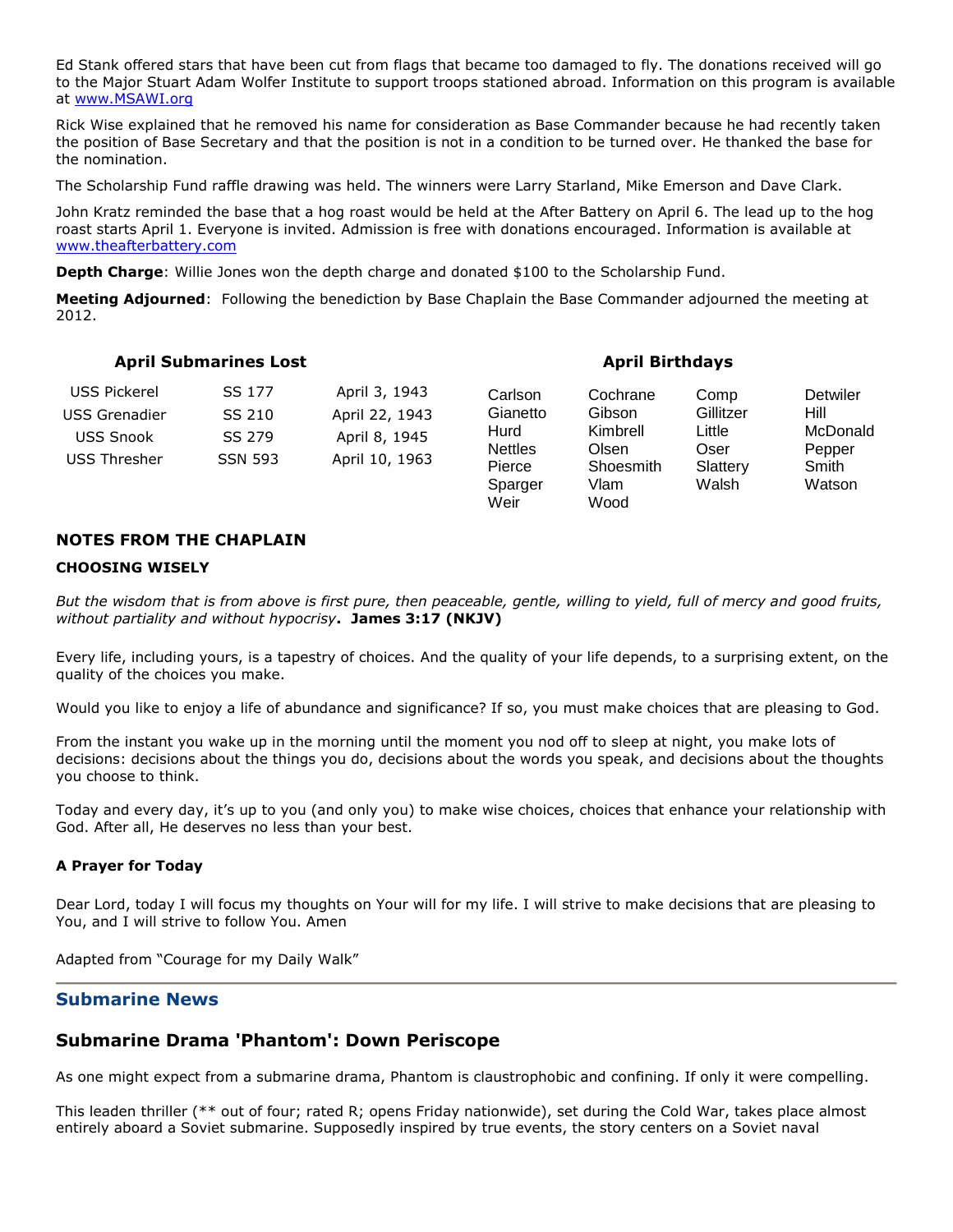Ed Stank offered stars that have been cut from flags that became too damaged to fly. The donations received will go to the Major Stuart Adam Wolfer Institute to support troops stationed abroad. Information on this program is available at [www.MSAWI.org](http://www.msawi.org/)

Rick Wise explained that he removed his name for consideration as Base Commander because he had recently taken the position of Base Secretary and that the position is not in a condition to be turned over. He thanked the base for the nomination.

The Scholarship Fund raffle drawing was held. The winners were Larry Starland, Mike Emerson and Dave Clark.

John Kratz reminded the base that a hog roast would be held at the After Battery on April 6. The lead up to the hog roast starts April 1. Everyone is invited. Admission is free with donations encouraged. Information is available at [www.theafterbattery.com](http://www.theafterbattery.com/)

**Depth Charge**: Willie Jones won the depth charge and donated \$100 to the Scholarship Fund.

**Meeting Adjourned**: Following the benediction by Base Chaplain the Base Commander adjourned the meeting at 2012.

#### **April Submarines Lost April Birthdays**

| <b>USS Pickerel</b>  | SS 177         | April 3, 1943  |
|----------------------|----------------|----------------|
| <b>USS Grenadier</b> | SS 210         | April 22, 1943 |
| <b>USS Snook</b>     | SS 279         | April 8, 1945  |
| <b>USS Thresher</b>  | <b>SSN 593</b> | April 10, 1963 |
|                      |                |                |

| Carlson         | Cochrane     | Comp      | <b>Detwiler</b> |
|-----------------|--------------|-----------|-----------------|
| Gianetto        | Gibson       | Gillitzer | Hill            |
| Hurd            | Kimbrell     | Little    | McDonald        |
| Nettles         | Olsen        | Oser      | Pepper          |
| Pierce          | Shoesmith    | Slattery  | Smith           |
| Sparger<br>Weir | Vlam<br>Wood | Walsh     | Watson          |

### **NOTES FROM THE CHAPLAIN**

#### **CHOOSING WISELY**

*But the wisdom that is from above is first pure, then peaceable, gentle, willing to yield, full of mercy and good fruits, without partiality and without hypocrisy***. James 3:17 (NKJV)**

Every life, including yours, is a tapestry of choices. And the quality of your life depends, to a surprising extent, on the quality of the choices you make.

Would you like to enjoy a life of abundance and significance? If so, you must make choices that are pleasing to God.

From the instant you wake up in the morning until the moment you nod off to sleep at night, you make lots of decisions: decisions about the things you do, decisions about the words you speak, and decisions about the thoughts you choose to think.

Today and every day, it's up to you (and only you) to make wise choices, choices that enhance your relationship with God. After all, He deserves no less than your best.

#### **A Prayer for Today**

Dear Lord, today I will focus my thoughts on Your will for my life. I will strive to make decisions that are pleasing to You, and I will strive to follow You. Amen

Adapted from "Courage for my Daily Walk"

### **Submarine News**

### **Submarine Drama 'Phantom': Down Periscope**

As one might expect from a submarine drama, Phantom is claustrophobic and confining. If only it were compelling.

This leaden thriller (\*\* out of four; rated R; opens Friday nationwide), set during the Cold War, takes place almost entirely aboard a Soviet submarine. Supposedly inspired by true events, the story centers on a Soviet naval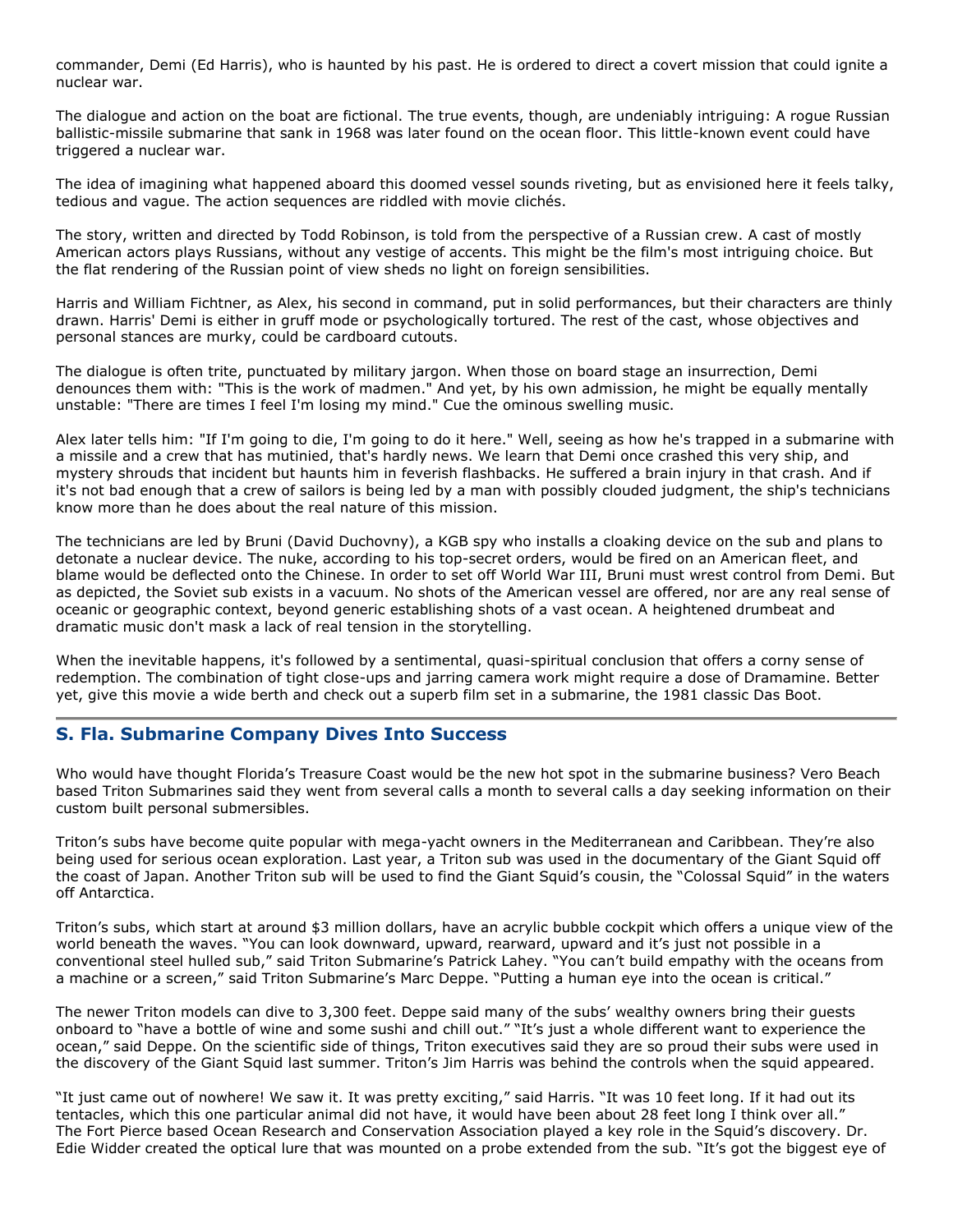commander, Demi (Ed Harris), who is haunted by his past. He is ordered to direct a covert mission that could ignite a nuclear war.

The dialogue and action on the boat are fictional. The true events, though, are undeniably intriguing: A rogue Russian ballistic-missile submarine that sank in 1968 was later found on the ocean floor. This little-known event could have triggered a nuclear war.

The idea of imagining what happened aboard this doomed vessel sounds riveting, but as envisioned here it feels talky, tedious and vague. The action sequences are riddled with movie clichés.

The story, written and directed by Todd Robinson, is told from the perspective of a Russian crew. A cast of mostly American actors plays Russians, without any vestige of accents. This might be the film's most intriguing choice. But the flat rendering of the Russian point of view sheds no light on foreign sensibilities.

Harris and William Fichtner, as Alex, his second in command, put in solid performances, but their characters are thinly drawn. Harris' Demi is either in gruff mode or psychologically tortured. The rest of the cast, whose objectives and personal stances are murky, could be cardboard cutouts.

The dialogue is often trite, punctuated by military jargon. When those on board stage an insurrection, Demi denounces them with: "This is the work of madmen." And yet, by his own admission, he might be equally mentally unstable: "There are times I feel I'm losing my mind." Cue the ominous swelling music.

Alex later tells him: "If I'm going to die, I'm going to do it here." Well, seeing as how he's trapped in a submarine with a missile and a crew that has mutinied, that's hardly news. We learn that Demi once crashed this very ship, and mystery shrouds that incident but haunts him in feverish flashbacks. He suffered a brain injury in that crash. And if it's not bad enough that a crew of sailors is being led by a man with possibly clouded judgment, the ship's technicians know more than he does about the real nature of this mission.

The technicians are led by Bruni (David Duchovny), a KGB spy who installs a cloaking device on the sub and plans to detonate a nuclear device. The nuke, according to his top-secret orders, would be fired on an American fleet, and blame would be deflected onto the Chinese. In order to set off World War III, Bruni must wrest control from Demi. But as depicted, the Soviet sub exists in a vacuum. No shots of the American vessel are offered, nor are any real sense of oceanic or geographic context, beyond generic establishing shots of a vast ocean. A heightened drumbeat and dramatic music don't mask a lack of real tension in the storytelling.

When the inevitable happens, it's followed by a sentimental, quasi-spiritual conclusion that offers a corny sense of redemption. The combination of tight close-ups and jarring camera work might require a dose of Dramamine. Better yet, give this movie a wide berth and check out a superb film set in a submarine, the 1981 classic Das Boot.

## **S. Fla. Submarine Company Dives Into Success**

Who would have thought Florida's Treasure Coast would be the new hot spot in the submarine business? Vero Beach based Triton Submarines said they went from several calls a month to several calls a day seeking information on their custom built personal submersibles.

Triton's subs have become quite popular with mega-yacht owners in the Mediterranean and Caribbean. They're also being used for serious ocean exploration. Last year, a Triton sub was used in the documentary of the Giant Squid off the coast of Japan. Another Triton sub will be used to find the Giant Squid's cousin, the "Colossal Squid" in the waters off Antarctica.

Triton's subs, which start at around \$3 million dollars, have an acrylic bubble cockpit which offers a unique view of the world beneath the waves. "You can look downward, upward, rearward, upward and it's just not possible in a conventional steel hulled sub," said Triton Submarine's Patrick Lahey. "You can't build empathy with the oceans from a machine or a screen," said Triton Submarine's Marc Deppe. "Putting a human eye into the ocean is critical."

The newer Triton models can dive to 3,300 feet. Deppe said many of the subs' wealthy owners bring their guests onboard to "have a bottle of wine and some sushi and chill out." "It's just a whole different want to experience the ocean," said Deppe. On the scientific side of things, Triton executives said they are so proud their subs were used in the discovery of the Giant Squid last summer. Triton's Jim Harris was behind the controls when the squid appeared.

"It just came out of nowhere! We saw it. It was pretty exciting," said Harris. "It was 10 feet long. If it had out its tentacles, which this one particular animal did not have, it would have been about 28 feet long I think over all." The Fort Pierce based Ocean Research and Conservation Association played a key role in the Squid's discovery. Dr. Edie Widder created the optical lure that was mounted on a probe extended from the sub. "It's got the biggest eye of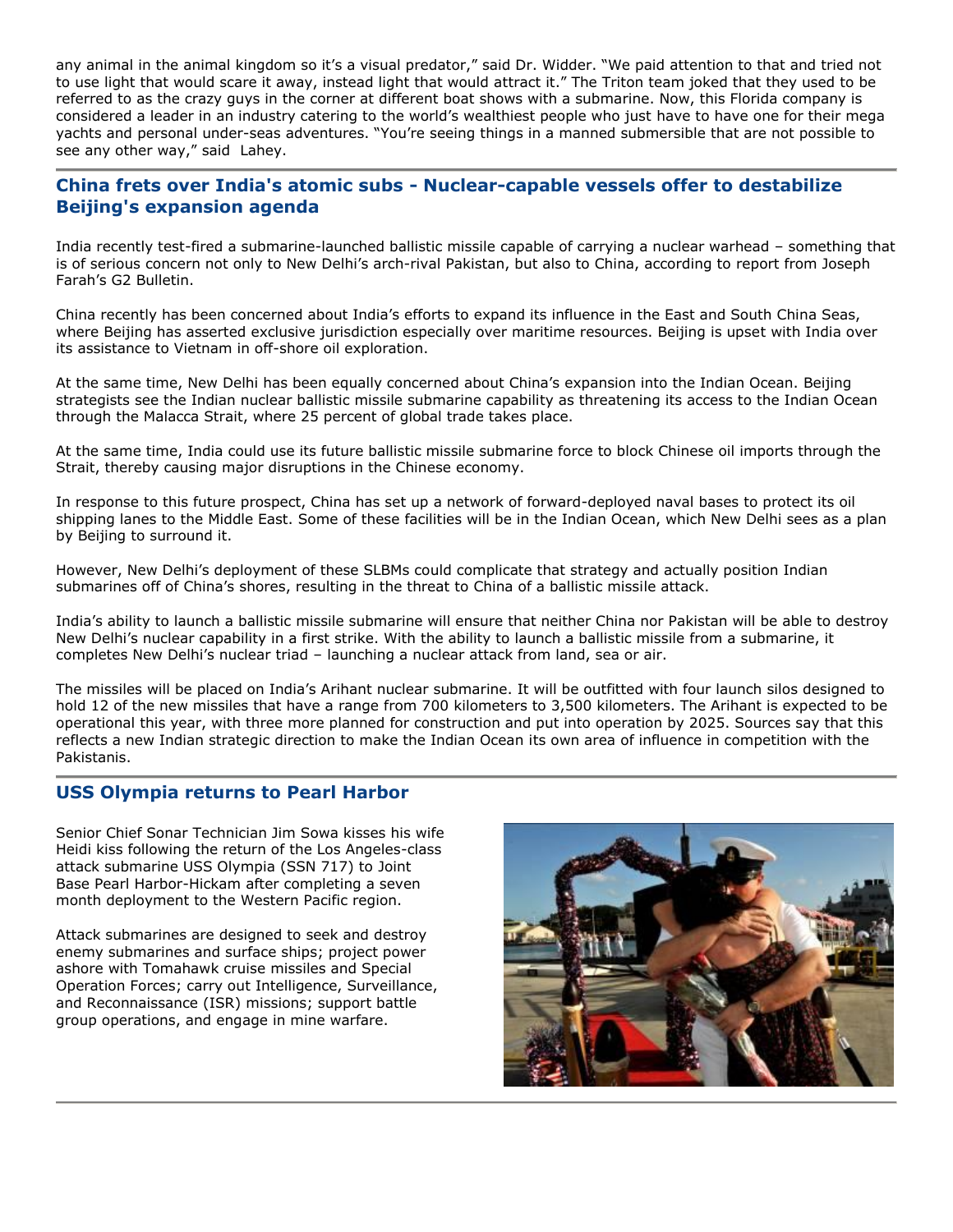any animal in the animal kingdom so it's a visual predator," said Dr. Widder. "We paid attention to that and tried not to use light that would scare it away, instead light that would attract it." The Triton team joked that they used to be referred to as the crazy guys in the corner at different boat shows with a submarine. Now, this Florida company is considered a leader in an industry catering to the world's wealthiest people who just have to have one for their mega yachts and personal under-seas adventures. "You're seeing things in a manned submersible that are not possible to see any other way," said Lahey.

## **China frets over India's atomic subs - Nuclear-capable vessels offer to destabilize Beijing's expansion agenda**

India recently test-fired a submarine-launched ballistic missile capable of carrying a nuclear warhead – something that is of serious concern not only to New Delhi's arch-rival Pakistan, but also to China, according to report from Joseph Farah's G2 Bulletin.

China recently has been concerned about India's efforts to expand its influence in the East and South China Seas, where Beijing has asserted exclusive jurisdiction especially over maritime resources. Beijing is upset with India over its assistance to Vietnam in off-shore oil exploration.

At the same time, New Delhi has been equally concerned about China's expansion into the Indian Ocean. Beijing strategists see the Indian nuclear ballistic missile submarine capability as threatening its access to the Indian Ocean through the Malacca Strait, where 25 percent of global trade takes place.

At the same time, India could use its future ballistic missile submarine force to block Chinese oil imports through the Strait, thereby causing major disruptions in the Chinese economy.

In response to this future prospect, China has set up a network of forward-deployed naval bases to protect its oil shipping lanes to the Middle East. Some of these facilities will be in the Indian Ocean, which New Delhi sees as a plan by Beijing to surround it.

However, New Delhi's deployment of these SLBMs could complicate that strategy and actually position Indian submarines off of China's shores, resulting in the threat to China of a ballistic missile attack.

India's ability to launch a ballistic missile submarine will ensure that neither China nor Pakistan will be able to destroy New Delhi's nuclear capability in a first strike. With the ability to launch a ballistic missile from a submarine, it completes New Delhi's nuclear triad – launching a nuclear attack from land, sea or air.

The missiles will be placed on India's Arihant nuclear submarine. It will be outfitted with four launch silos designed to hold 12 of the new missiles that have a range from 700 kilometers to 3,500 kilometers. The Arihant is expected to be operational this year, with three more planned for construction and put into operation by 2025. Sources say that this reflects a new Indian strategic direction to make the Indian Ocean its own area of influence in competition with the Pakistanis.

## **USS Olympia returns to Pearl Harbor**

Senior Chief Sonar Technician Jim Sowa kisses his wife Heidi kiss following the return of the Los Angeles-class attack submarine USS Olympia (SSN 717) to Joint Base Pearl Harbor-Hickam after completing a seven month deployment to the Western Pacific region.

Attack submarines are designed to seek and destroy enemy submarines and surface ships; project power ashore with Tomahawk cruise missiles and Special Operation Forces; carry out Intelligence, Surveillance, and Reconnaissance (ISR) missions; support battle group operations, and engage in mine warfare.

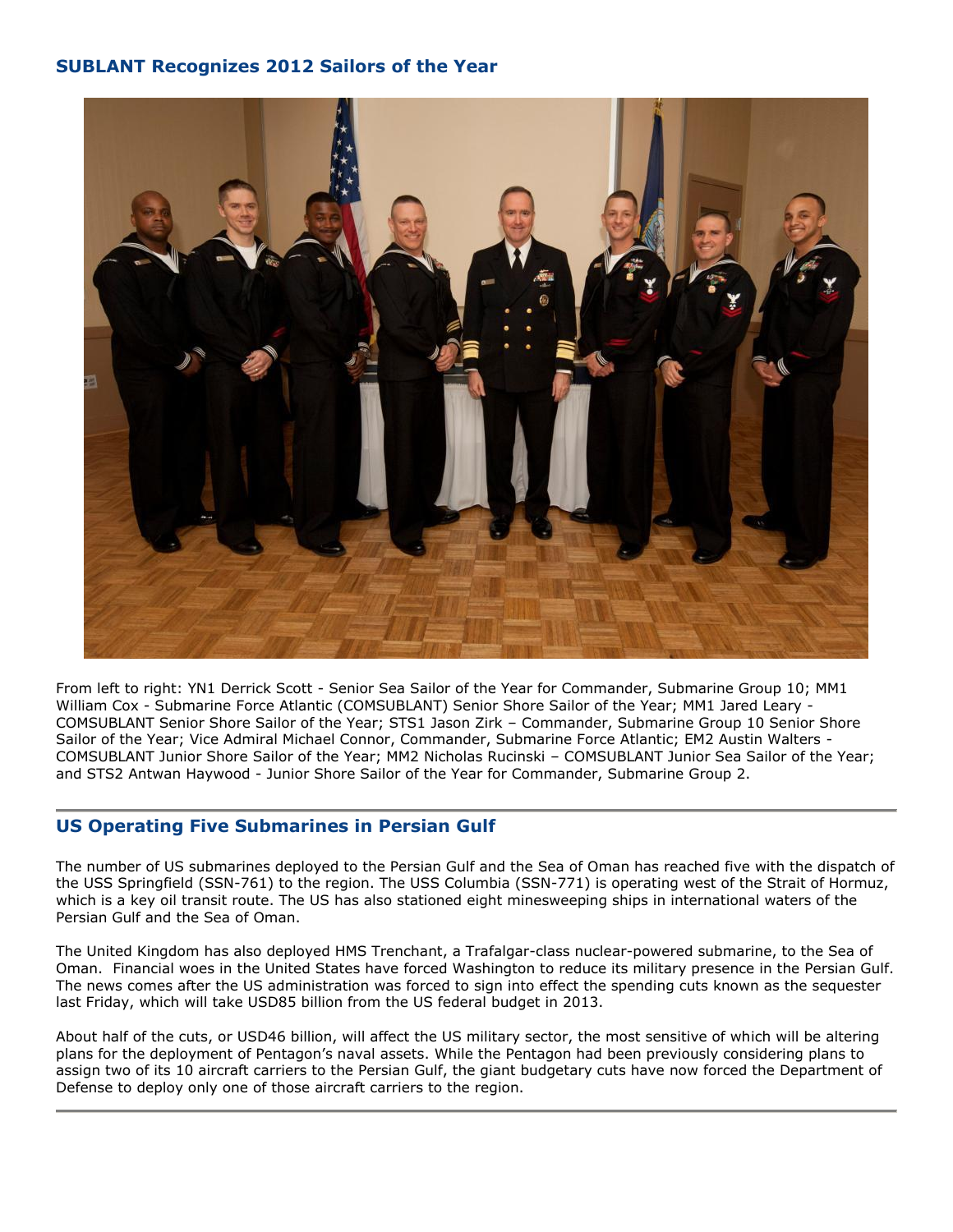# **SUBLANT Recognizes 2012 Sailors of the Year**



From left to right: YN1 Derrick Scott - Senior Sea Sailor of the Year for Commander, Submarine Group 10; MM1 William Cox - Submarine Force Atlantic (COMSUBLANT) Senior Shore Sailor of the Year; MM1 Jared Leary - COMSUBLANT Senior Shore Sailor of the Year; STS1 Jason Zirk – Commander, Submarine Group 10 Senior Shore Sailor of the Year; Vice Admiral Michael Connor, Commander, Submarine Force Atlantic; EM2 Austin Walters - COMSUBLANT Junior Shore Sailor of the Year; MM2 Nicholas Rucinski – COMSUBLANT Junior Sea Sailor of the Year; and STS2 Antwan Haywood - Junior Shore Sailor of the Year for Commander, Submarine Group 2.

## **US Operating Five Submarines in Persian Gulf**

The number of US submarines deployed to the Persian Gulf and the Sea of Oman has reached five with the dispatch of the USS Springfield (SSN-761) to the region. The USS Columbia (SSN-771) is operating west of the Strait of Hormuz, which is a key oil transit route. The US has also stationed eight minesweeping ships in international waters of the Persian Gulf and the Sea of Oman.

The United Kingdom has also deployed HMS Trenchant, a Trafalgar-class nuclear-powered submarine, to the Sea of Oman. Financial woes in the United States have forced Washington to reduce its military presence in the Persian Gulf. The news comes after the US administration was forced to sign into effect the spending cuts known as the sequester last Friday, which will take USD85 billion from the US federal budget in 2013.

About half of the cuts, or USD46 billion, will affect the US military sector, the most sensitive of which will be altering plans for the deployment of Pentagon's naval assets. While the Pentagon had been previously considering plans to assign two of its 10 aircraft carriers to the Persian Gulf, the giant budgetary cuts have now forced the Department of Defense to deploy only one of those aircraft carriers to the region.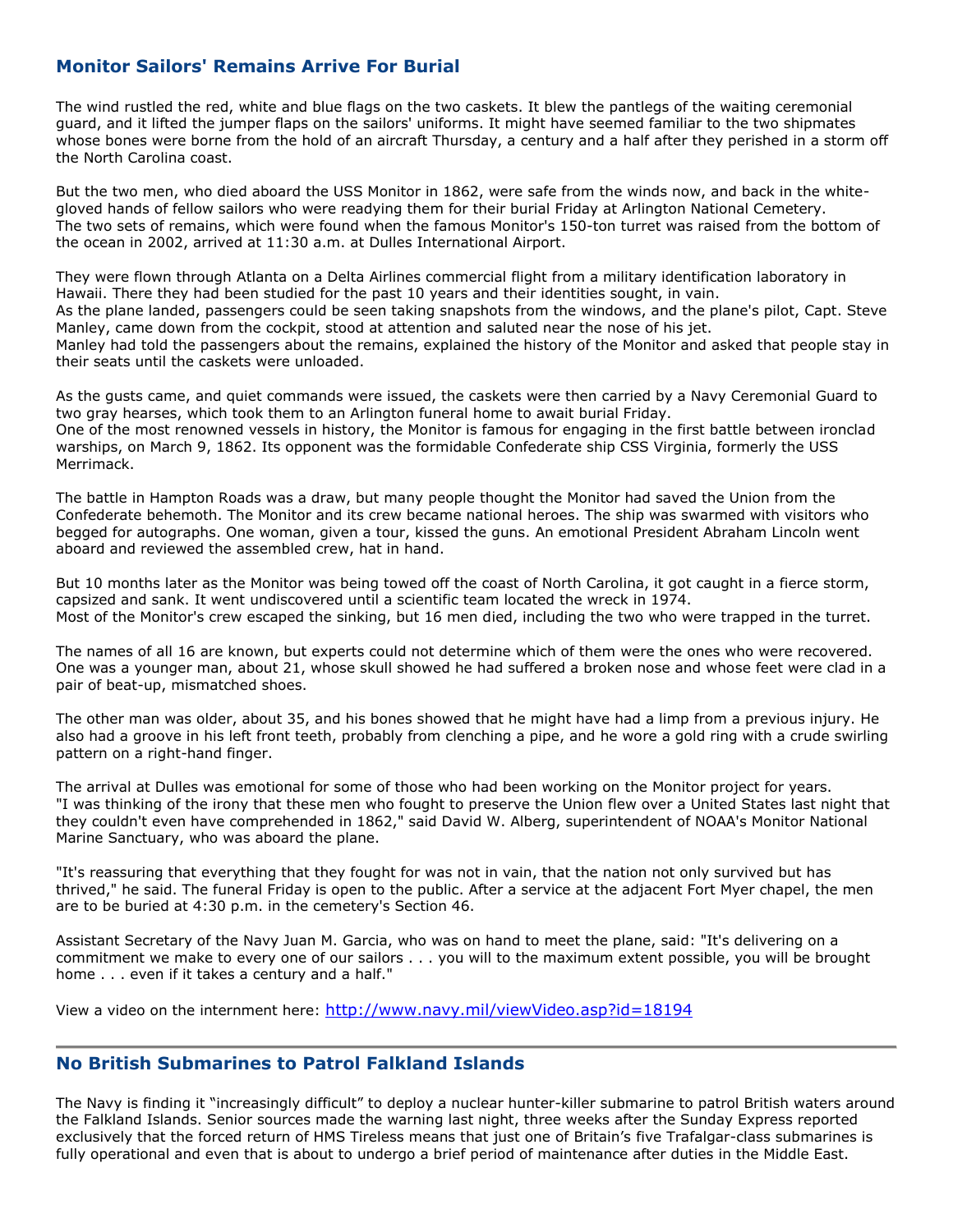# **Monitor Sailors' Remains Arrive For Burial**

The wind rustled the red, white and blue flags on the two caskets. It blew the pantlegs of the waiting ceremonial guard, and it lifted the jumper flaps on the sailors' uniforms. It might have seemed familiar to the two shipmates whose bones were borne from the hold of an aircraft Thursday, a century and a half after they perished in a storm off the North Carolina coast.

But the two men, who died aboard the USS Monitor in 1862, were safe from the winds now, and back in the whitegloved hands of fellow sailors who were readying them for their burial Friday at Arlington National Cemetery. The two sets of remains, which were found when the famous Monitor's 150-ton turret was raised from the bottom of the ocean in 2002, arrived at 11:30 a.m. at Dulles International Airport.

They were flown through Atlanta on a Delta Airlines commercial flight from a military identification laboratory in Hawaii. There they had been studied for the past 10 years and their identities sought, in vain. As the plane landed, passengers could be seen taking snapshots from the windows, and the plane's pilot, Capt. Steve Manley, came down from the cockpit, stood at attention and saluted near the nose of his jet. Manley had told the passengers about the remains, explained the history of the Monitor and asked that people stay in their seats until the caskets were unloaded.

As the gusts came, and quiet commands were issued, the caskets were then carried by a Navy Ceremonial Guard to two gray hearses, which took them to an Arlington funeral home to await burial Friday. One of the most renowned vessels in history, the Monitor is famous for engaging in the first battle between ironclad warships, on March 9, 1862. Its opponent was the formidable Confederate ship CSS Virginia, formerly the USS Merrimack.

The battle in Hampton Roads was a draw, but many people thought the Monitor had saved the Union from the Confederate behemoth. The Monitor and its crew became national heroes. The ship was swarmed with visitors who begged for autographs. One woman, given a tour, kissed the guns. An emotional President Abraham Lincoln went aboard and reviewed the assembled crew, hat in hand.

But 10 months later as the Monitor was being towed off the coast of North Carolina, it got caught in a fierce storm, capsized and sank. It went undiscovered until a scientific team located the wreck in 1974. Most of the Monitor's crew escaped the sinking, but 16 men died, including the two who were trapped in the turret.

The names of all 16 are known, but experts could not determine which of them were the ones who were recovered. One was a younger man, about 21, whose skull showed he had suffered a broken nose and whose feet were clad in a pair of beat-up, mismatched shoes.

The other man was older, about 35, and his bones showed that he might have had a limp from a previous injury. He also had a groove in his left front teeth, probably from clenching a pipe, and he wore a gold ring with a crude swirling pattern on a right-hand finger.

The arrival at Dulles was emotional for some of those who had been working on the Monitor project for years. "I was thinking of the irony that these men who fought to preserve the Union flew over a United States last night that they couldn't even have comprehended in 1862," said David W. Alberg, superintendent of NOAA's Monitor National Marine Sanctuary, who was aboard the plane.

"It's reassuring that everything that they fought for was not in vain, that the nation not only survived but has thrived," he said. The funeral Friday is open to the public. After a service at the adjacent Fort Myer chapel, the men are to be buried at 4:30 p.m. in the cemetery's Section 46.

Assistant Secretary of the Navy Juan M. Garcia, who was on hand to meet the plane, said: "It's delivering on a commitment we make to every one of our sailors . . . you will to the maximum extent possible, you will be brought home . . . even if it takes a century and a half."

View a video on the internment here: <http://www.navy.mil/viewVideo.asp?id=18194>

# **No British Submarines to Patrol Falkland Islands**

The Navy is finding it "increasingly difficult" to deploy a nuclear hunter-killer submarine to patrol British waters around the Falkland Islands. Senior sources made the warning last night, three weeks after the Sunday Express reported exclusively that the forced return of HMS Tireless means that just one of Britain's five Trafalgar-class submarines is fully operational and even that is about to undergo a brief period of maintenance after duties in the Middle East.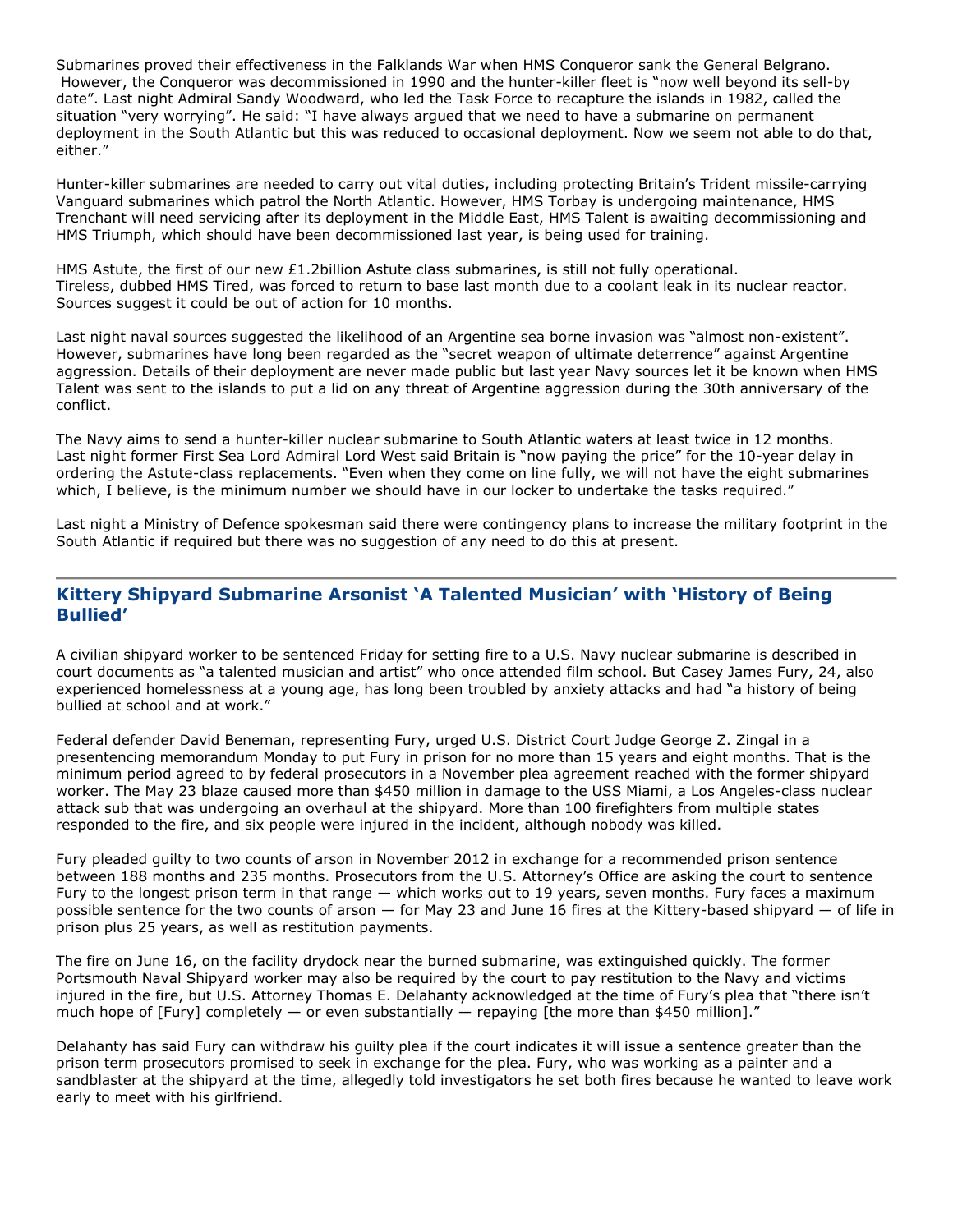Submarines proved their effectiveness in the Falklands War when HMS Conqueror sank the General Belgrano. However, the Conqueror was decommissioned in 1990 and the hunter-killer fleet is "now well beyond its sell-by date". Last night Admiral Sandy Woodward, who led the Task Force to recapture the islands in 1982, called the situation "very worrying". He said: "I have always argued that we need to have a submarine on permanent deployment in the South Atlantic but this was reduced to occasional deployment. Now we seem not able to do that, either."

Hunter-killer submarines are needed to carry out vital duties, including protecting Britain's Trident missile-carrying Vanguard submarines which patrol the North Atlantic. However, HMS Torbay is undergoing maintenance, HMS Trenchant will need servicing after its deployment in the Middle East, HMS Talent is awaiting decommissioning and HMS Triumph, which should have been decommissioned last year, is being used for training.

HMS Astute, the first of our new £1.2billion Astute class submarines, is still not fully operational. Tireless, dubbed HMS Tired, was forced to return to base last month due to a coolant leak in its nuclear reactor. Sources suggest it could be out of action for 10 months.

Last night naval sources suggested the likelihood of an Argentine sea borne invasion was "almost non-existent". However, submarines have long been regarded as the "secret weapon of ultimate deterrence" against Argentine aggression. Details of their deployment are never made public but last year Navy sources let it be known when HMS Talent was sent to the islands to put a lid on any threat of Argentine aggression during the 30th anniversary of the conflict.

The Navy aims to send a hunter-killer nuclear submarine to South Atlantic waters at least twice in 12 months. Last night former First Sea Lord Admiral Lord West said Britain is "now paying the price" for the 10-year delay in ordering the Astute-class replacements. "Even when they come on line fully, we will not have the eight submarines which, I believe, is the minimum number we should have in our locker to undertake the tasks required."

Last night a Ministry of Defence spokesman said there were contingency plans to increase the military footprint in the South Atlantic if required but there was no suggestion of any need to do this at present.

# **Kittery Shipyard Submarine Arsonist 'A Talented Musician' with 'History of Being Bullied'**

A civilian shipyard worker to be sentenced Friday for setting fire to a U.S. Navy nuclear submarine is described in court documents as "a talented musician and artist" who once attended film school. But Casey James Fury, 24, also experienced homelessness at a young age, has long been troubled by anxiety attacks and had "a history of being bullied at school and at work."

Federal defender David Beneman, representing Fury, urged U.S. District Court Judge George Z. Zingal in a presentencing memorandum Monday to put Fury in prison for no more than 15 years and eight months. That is the minimum period agreed to by federal prosecutors in a November plea agreement reached with the former shipyard worker. The May 23 blaze caused more than \$450 million in damage to the USS Miami, a Los Angeles-class nuclear attack sub that was undergoing an overhaul at the shipyard. More than 100 firefighters from multiple states responded to the fire, and six people were injured in the incident, although nobody was killed.

Fury pleaded guilty to two counts of arson in November 2012 in exchange for a recommended prison sentence between 188 months and 235 months. Prosecutors from the U.S. Attorney's Office are asking the court to sentence Fury to the longest prison term in that range — which works out to 19 years, seven months. Fury faces a maximum possible sentence for the two counts of arson — for May 23 and June 16 fires at the Kittery-based shipyard — of life in prison plus 25 years, as well as restitution payments.

The fire on June 16, on the facility drydock near the burned submarine, was extinguished quickly. The former Portsmouth Naval Shipyard worker may also be required by the court to pay restitution to the Navy and victims injured in the fire, but U.S. Attorney Thomas E. Delahanty acknowledged at the time of Fury's plea that "there isn't much hope of [Fury] completely  $-$  or even substantially  $-$  repaying [the more than \$450 million]."

Delahanty has said Fury can withdraw his guilty plea if the court indicates it will issue a sentence greater than the prison term prosecutors promised to seek in exchange for the plea. Fury, who was working as a painter and a sandblaster at the shipyard at the time, allegedly told investigators he set both fires because he wanted to leave work early to meet with his girlfriend.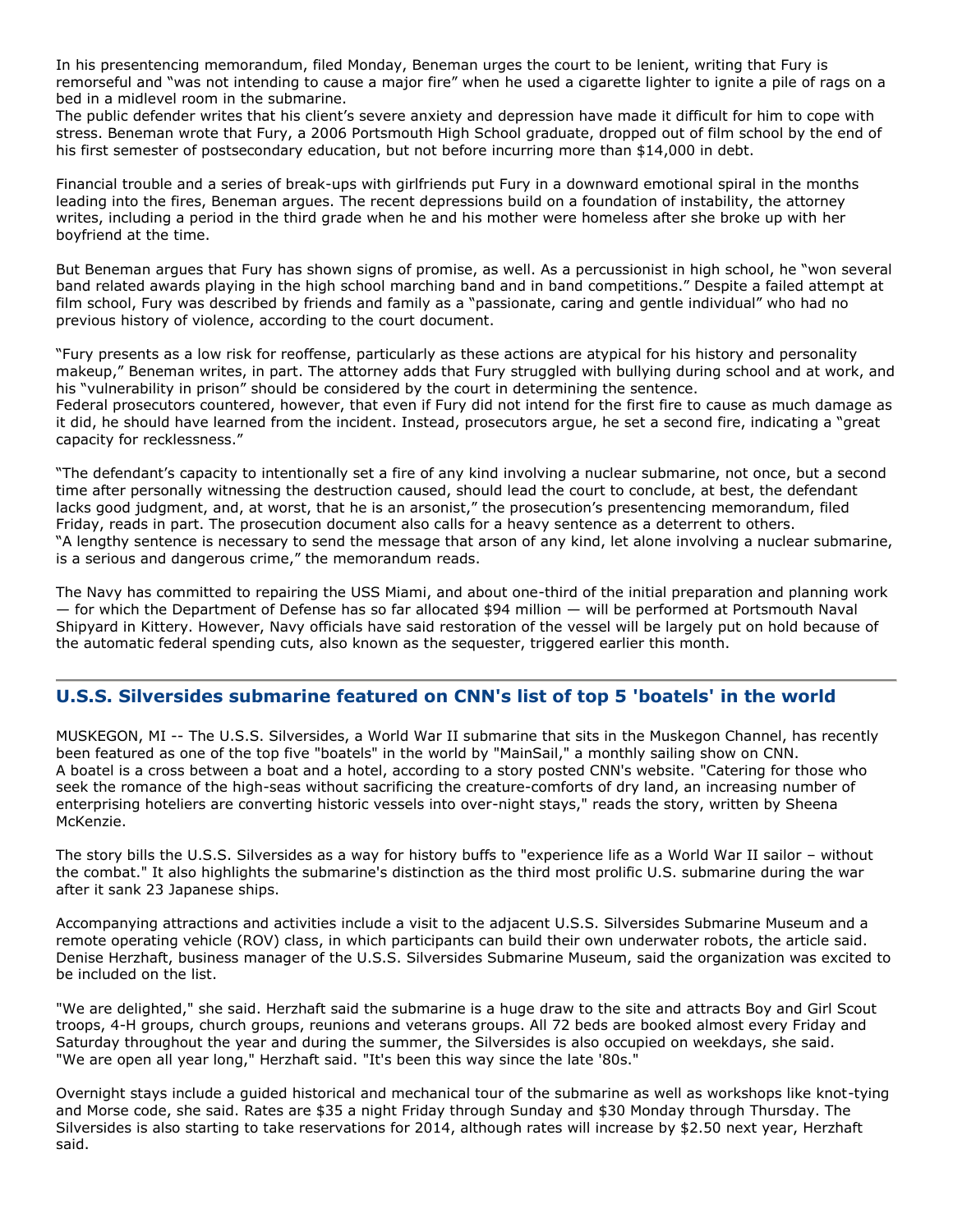In his presentencing memorandum, filed Monday, Beneman urges the court to be lenient, writing that Fury is remorseful and "was not intending to cause a major fire" when he used a cigarette lighter to ignite a pile of rags on a bed in a midlevel room in the submarine.

The public defender writes that his client's severe anxiety and depression have made it difficult for him to cope with stress. Beneman wrote that Fury, a 2006 Portsmouth High School graduate, dropped out of film school by the end of his first semester of postsecondary education, but not before incurring more than \$14,000 in debt.

Financial trouble and a series of break-ups with girlfriends put Fury in a downward emotional spiral in the months leading into the fires, Beneman argues. The recent depressions build on a foundation of instability, the attorney writes, including a period in the third grade when he and his mother were homeless after she broke up with her boyfriend at the time.

But Beneman argues that Fury has shown signs of promise, as well. As a percussionist in high school, he "won several band related awards playing in the high school marching band and in band competitions." Despite a failed attempt at film school, Fury was described by friends and family as a "passionate, caring and gentle individual" who had no previous history of violence, according to the court document.

"Fury presents as a low risk for reoffense, particularly as these actions are atypical for his history and personality makeup," Beneman writes, in part. The attorney adds that Fury struggled with bullying during school and at work, and his "vulnerability in prison" should be considered by the court in determining the sentence. Federal prosecutors countered, however, that even if Fury did not intend for the first fire to cause as much damage as it did, he should have learned from the incident. Instead, prosecutors argue, he set a second fire, indicating a "great capacity for recklessness."

"The defendant's capacity to intentionally set a fire of any kind involving a nuclear submarine, not once, but a second time after personally witnessing the destruction caused, should lead the court to conclude, at best, the defendant lacks good judgment, and, at worst, that he is an arsonist," the prosecution's presentencing memorandum, filed Friday, reads in part. The prosecution document also calls for a heavy sentence as a deterrent to others. "A lengthy sentence is necessary to send the message that arson of any kind, let alone involving a nuclear submarine, is a serious and dangerous crime," the memorandum reads.

The Navy has committed to repairing the USS Miami, and about one-third of the initial preparation and planning work — for which the Department of Defense has so far allocated \$94 million — will be performed at Portsmouth Naval Shipyard in Kittery. However, Navy officials have said restoration of the vessel will be largely put on hold because of the automatic federal spending cuts, also known as the sequester, triggered earlier this month.

## **U.S.S. Silversides submarine featured on CNN's list of top 5 'boatels' in the world**

MUSKEGON, MI -- The U.S.S. Silversides, a World War II submarine that sits in the Muskegon Channel, has recently been featured as one of the top five "boatels" in the world by "MainSail," a monthly sailing show on CNN. A boatel is a cross between a boat and a hotel, according to a story posted CNN's website. "Catering for those who seek the romance of the high-seas without sacrificing the creature-comforts of dry land, an increasing number of enterprising hoteliers are converting historic vessels into over-night stays," reads the story, written by Sheena McKenzie.

The story bills the U.S.S. Silversides as a way for history buffs to "experience life as a World War II sailor – without the combat." It also highlights the submarine's distinction as the third most prolific U.S. submarine during the war after it sank 23 Japanese ships.

Accompanying attractions and activities include a visit to the adjacent U.S.S. Silversides Submarine Museum and a remote operating vehicle (ROV) class, in which participants can build their own underwater robots, the article said. Denise Herzhaft, business manager of the U.S.S. Silversides Submarine Museum, said the organization was excited to be included on the list.

"We are delighted," she said. Herzhaft said the submarine is a huge draw to the site and attracts Boy and Girl Scout troops, 4-H groups, church groups, reunions and veterans groups. All 72 beds are booked almost every Friday and Saturday throughout the year and during the summer, the Silversides is also occupied on weekdays, she said. "We are open all year long," Herzhaft said. "It's been this way since the late '80s."

Overnight stays include a guided historical and mechanical tour of the submarine as well as workshops like knot-tying and Morse code, she said. Rates are \$35 a night Friday through Sunday and \$30 Monday through Thursday. The Silversides is also starting to take reservations for 2014, although rates will increase by \$2.50 next year, Herzhaft said.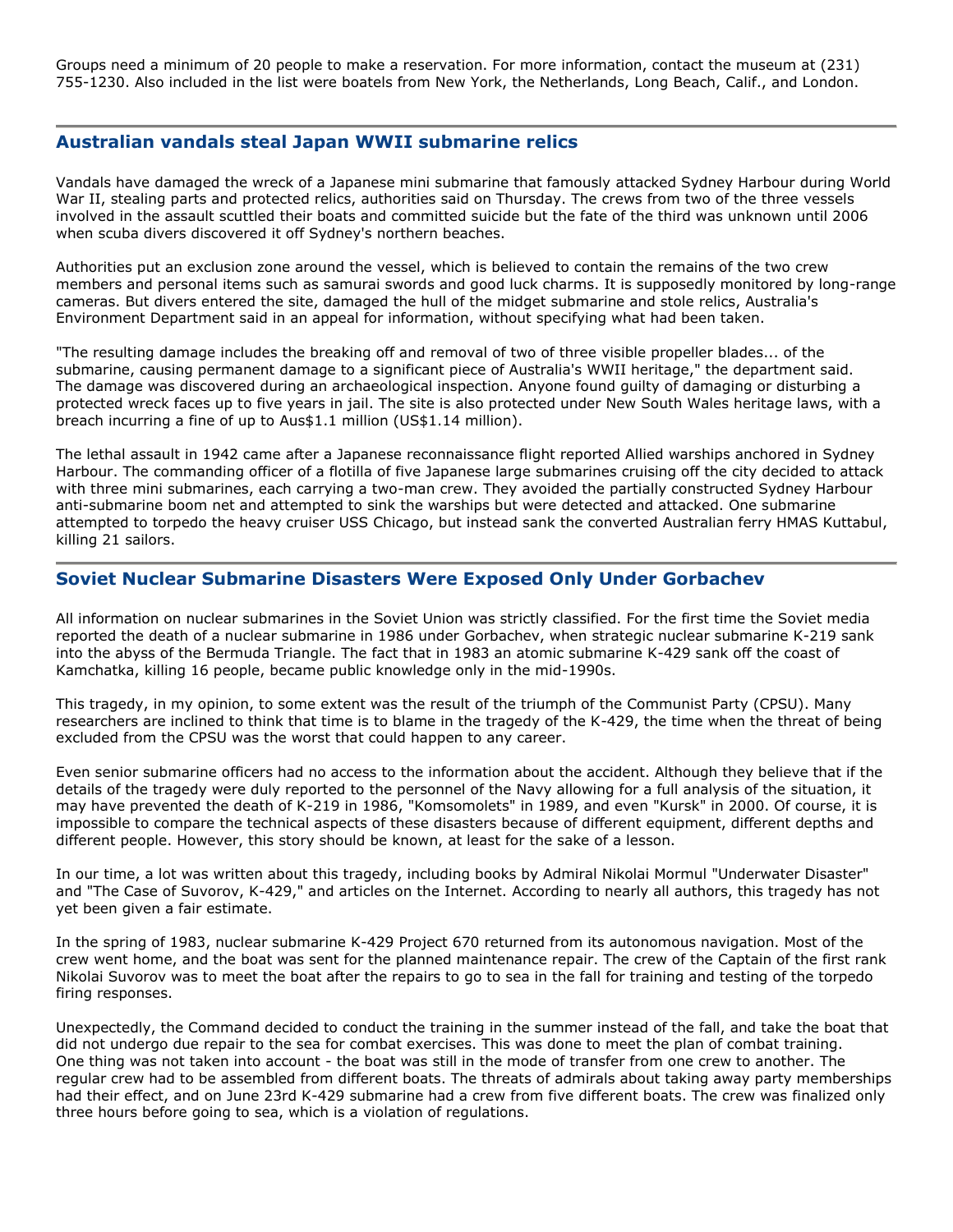Groups need a minimum of 20 people to make a reservation. For more information, contact the museum at (231) 755-1230. Also included in the list were boatels from New York, the Netherlands, Long Beach, Calif., and London.

### **Australian vandals steal Japan WWII submarine relics**

Vandals have damaged the wreck of a Japanese mini submarine that famously attacked Sydney Harbour during World War II, stealing parts and protected relics, authorities said on Thursday. The crews from two of the three vessels involved in the assault scuttled their boats and committed suicide but the fate of the third was unknown until 2006 when scuba divers discovered it off Sydney's northern beaches.

Authorities put an exclusion zone around the vessel, which is believed to contain the remains of the two crew members and personal items such as samurai swords and good luck charms. It is supposedly monitored by long-range cameras. But divers entered the site, damaged the hull of the midget submarine and stole relics, Australia's Environment Department said in an appeal for information, without specifying what had been taken.

"The resulting damage includes the breaking off and removal of two of three visible propeller blades... of the submarine, causing permanent damage to a significant piece of Australia's WWII heritage," the department said. The damage was discovered during an archaeological inspection. Anyone found guilty of damaging or disturbing a protected wreck faces up to five years in jail. The site is also protected under New South Wales heritage laws, with a breach incurring a fine of up to Aus\$1.1 million (US\$1.14 million).

The lethal assault in 1942 came after a Japanese reconnaissance flight reported Allied warships anchored in Sydney Harbour. The commanding officer of a flotilla of five Japanese large submarines cruising off the city decided to attack with three mini submarines, each carrying a two-man crew. They avoided the partially constructed Sydney Harbour anti-submarine boom net and attempted to sink the warships but were detected and attacked. One submarine attempted to torpedo the heavy cruiser USS Chicago, but instead sank the converted Australian ferry HMAS Kuttabul, killing 21 sailors.

## **Soviet Nuclear Submarine Disasters Were Exposed Only Under Gorbachev**

All information on nuclear submarines in the Soviet Union was strictly classified. For the first time the Soviet media reported the death of a nuclear submarine in 1986 under Gorbachev, when strategic nuclear submarine K-219 sank into the abyss of the Bermuda Triangle. The fact that in 1983 an atomic submarine K-429 sank off the coast of Kamchatka, killing 16 people, became public knowledge only in the mid-1990s.

This tragedy, in my opinion, to some extent was the result of the triumph of the Communist Party (CPSU). Many researchers are inclined to think that time is to blame in the tragedy of the K-429, the time when the threat of being excluded from the CPSU was the worst that could happen to any career.

Even senior submarine officers had no access to the information about the accident. Although they believe that if the details of the tragedy were duly reported to the personnel of the Navy allowing for a full analysis of the situation, it may have prevented the death of K-219 in 1986, "Komsomolets" in 1989, and even "Kursk" in 2000. Of course, it is impossible to compare the technical aspects of these disasters because of different equipment, different depths and different people. However, this story should be known, at least for the sake of a lesson.

In our time, a lot was written about this tragedy, including books by Admiral Nikolai Mormul "Underwater Disaster" and "The Case of Suvorov, K-429," and articles on the Internet. According to nearly all authors, this tragedy has not yet been given a fair estimate.

In the spring of 1983, nuclear submarine K-429 Project 670 returned from its autonomous navigation. Most of the crew went home, and the boat was sent for the planned maintenance repair. The crew of the Captain of the first rank Nikolai Suvorov was to meet the boat after the repairs to go to sea in the fall for training and testing of the torpedo firing responses.

Unexpectedly, the Command decided to conduct the training in the summer instead of the fall, and take the boat that did not undergo due repair to the sea for combat exercises. This was done to meet the plan of combat training. One thing was not taken into account - the boat was still in the mode of transfer from one crew to another. The regular crew had to be assembled from different boats. The threats of admirals about taking away party memberships had their effect, and on June 23rd K-429 submarine had a crew from five different boats. The crew was finalized only three hours before going to sea, which is a violation of regulations.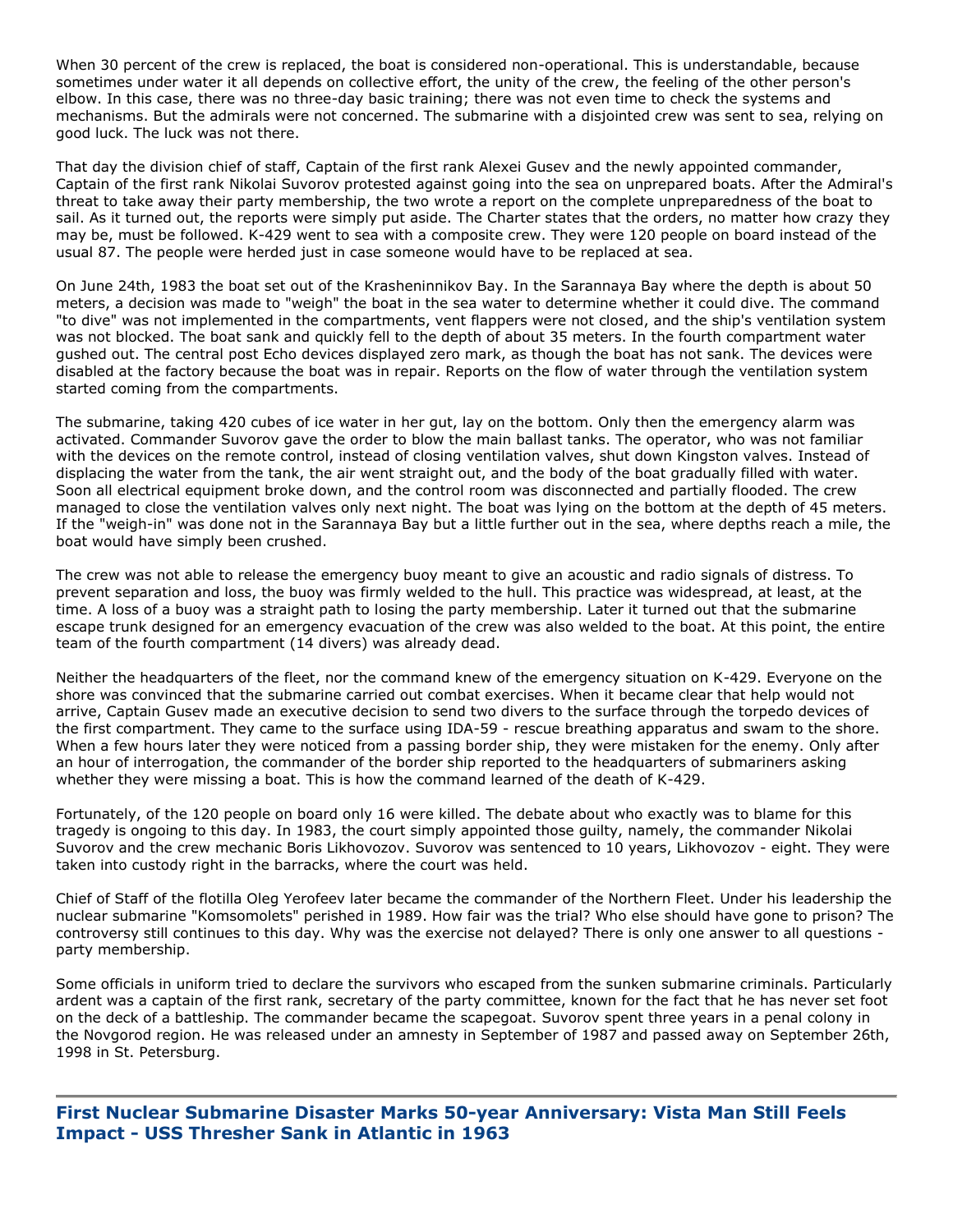When 30 percent of the crew is replaced, the boat is considered non-operational. This is understandable, because sometimes under water it all depends on collective effort, the unity of the crew, the feeling of the other person's elbow. In this case, there was no three-day basic training; there was not even time to check the systems and mechanisms. But the admirals were not concerned. The submarine with a disjointed crew was sent to sea, relying on good luck. The luck was not there.

That day the division chief of staff, Captain of the first rank Alexei Gusev and the newly appointed commander, Captain of the first rank Nikolai Suvorov protested against going into the sea on unprepared boats. After the Admiral's threat to take away their party membership, the two wrote a report on the complete unpreparedness of the boat to sail. As it turned out, the reports were simply put aside. The Charter states that the orders, no matter how crazy they may be, must be followed. K-429 went to sea with a composite crew. They were 120 people on board instead of the usual 87. The people were herded just in case someone would have to be replaced at sea.

On June 24th, 1983 the boat set out of the Krasheninnikov Bay. In the Sarannaya Bay where the depth is about 50 meters, a decision was made to "weigh" the boat in the sea water to determine whether it could dive. The command "to dive" was not implemented in the compartments, vent flappers were not closed, and the ship's ventilation system was not blocked. The boat sank and quickly fell to the depth of about 35 meters. In the fourth compartment water gushed out. The central post Echo devices displayed zero mark, as though the boat has not sank. The devices were disabled at the factory because the boat was in repair. Reports on the flow of water through the ventilation system started coming from the compartments.

The submarine, taking 420 cubes of ice water in her gut, lay on the bottom. Only then the emergency alarm was activated. Commander Suvorov gave the order to blow the main ballast tanks. The operator, who was not familiar with the devices on the remote control, instead of closing ventilation valves, shut down Kingston valves. Instead of displacing the water from the tank, the air went straight out, and the body of the boat gradually filled with water. Soon all electrical equipment broke down, and the control room was disconnected and partially flooded. The crew managed to close the ventilation valves only next night. The boat was lying on the bottom at the depth of 45 meters. If the "weigh-in" was done not in the Sarannaya Bay but a little further out in the sea, where depths reach a mile, the boat would have simply been crushed.

The crew was not able to release the emergency buoy meant to give an acoustic and radio signals of distress. To prevent separation and loss, the buoy was firmly welded to the hull. This practice was widespread, at least, at the time. A loss of a buoy was a straight path to losing the party membership. Later it turned out that the submarine escape trunk designed for an emergency evacuation of the crew was also welded to the boat. At this point, the entire team of the fourth compartment (14 divers) was already dead.

Neither the headquarters of the fleet, nor the command knew of the emergency situation on K-429. Everyone on the shore was convinced that the submarine carried out combat exercises. When it became clear that help would not arrive, Captain Gusev made an executive decision to send two divers to the surface through the torpedo devices of the first compartment. They came to the surface using IDA-59 - rescue breathing apparatus and swam to the shore. When a few hours later they were noticed from a passing border ship, they were mistaken for the enemy. Only after an hour of interrogation, the commander of the border ship reported to the headquarters of submariners asking whether they were missing a boat. This is how the command learned of the death of K-429.

Fortunately, of the 120 people on board only 16 were killed. The debate about who exactly was to blame for this tragedy is ongoing to this day. In 1983, the court simply appointed those guilty, namely, the commander Nikolai Suvorov and the crew mechanic Boris Likhovozov. Suvorov was sentenced to 10 years, Likhovozov - eight. They were taken into custody right in the barracks, where the court was held.

Chief of Staff of the flotilla Oleg Yerofeev later became the commander of the Northern Fleet. Under his leadership the nuclear submarine "Komsomolets" perished in 1989. How fair was the trial? Who else should have gone to prison? The controversy still continues to this day. Why was the exercise not delayed? There is only one answer to all questions party membership.

Some officials in uniform tried to declare the survivors who escaped from the sunken submarine criminals. Particularly ardent was a captain of the first rank, secretary of the party committee, known for the fact that he has never set foot on the deck of a battleship. The commander became the scapegoat. Suvorov spent three years in a penal colony in the Novgorod region. He was released under an amnesty in September of 1987 and passed away on September 26th, 1998 in St. Petersburg.

**First Nuclear Submarine Disaster Marks 50-year Anniversary: Vista Man Still Feels Impact - USS Thresher Sank in Atlantic in 1963**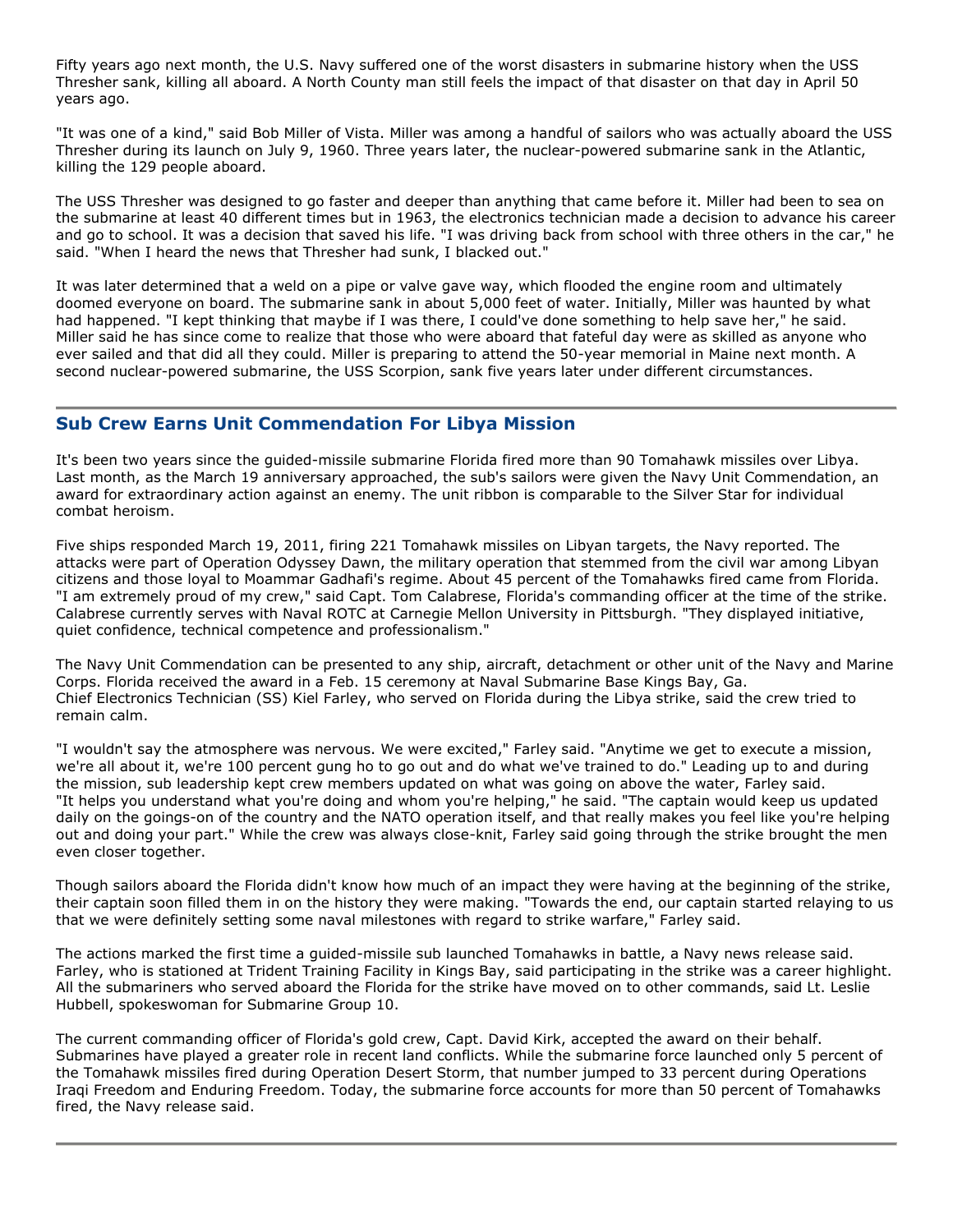Fifty years ago next month, the U.S. Navy suffered one of the worst disasters in submarine history when the USS Thresher sank, killing all aboard. A North County man still feels the impact of that disaster on that day in April 50 years ago.

"It was one of a kind," said Bob Miller of Vista. Miller was among a handful of sailors who was actually aboard the USS Thresher during its launch on July 9, 1960. Three years later, the nuclear-powered submarine sank in the Atlantic, killing the 129 people aboard.

The USS Thresher was designed to go faster and deeper than anything that came before it. Miller had been to sea on the submarine at least 40 different times but in 1963, the electronics technician made a decision to advance his career and go to school. It was a decision that saved his life. "I was driving back from school with three others in the car," he said. "When I heard the news that Thresher had sunk, I blacked out."

It was later determined that a weld on a pipe or valve gave way, which flooded the engine room and ultimately doomed everyone on board. The submarine sank in about 5,000 feet of water. Initially, Miller was haunted by what had happened. "I kept thinking that maybe if I was there, I could've done something to help save her," he said. Miller said he has since come to realize that those who were aboard that fateful day were as skilled as anyone who ever sailed and that did all they could. Miller is preparing to attend the 50-year memorial in Maine next month. A second nuclear-powered submarine, the USS Scorpion, sank five years later under different circumstances.

## **Sub Crew Earns Unit Commendation For Libya Mission**

It's been two years since the guided-missile submarine Florida fired more than 90 Tomahawk missiles over Libya. Last month, as the March 19 anniversary approached, the sub's sailors were given the Navy Unit Commendation, an award for extraordinary action against an enemy. The unit ribbon is comparable to the Silver Star for individual combat heroism.

Five ships responded March 19, 2011, firing 221 Tomahawk missiles on Libyan targets, the Navy reported. The attacks were part of Operation Odyssey Dawn, the military operation that stemmed from the civil war among Libyan citizens and those loyal to Moammar Gadhafi's regime. About 45 percent of the Tomahawks fired came from Florida. "I am extremely proud of my crew," said Capt. Tom Calabrese, Florida's commanding officer at the time of the strike. Calabrese currently serves with Naval ROTC at Carnegie Mellon University in Pittsburgh. "They displayed initiative, quiet confidence, technical competence and professionalism."

The Navy Unit Commendation can be presented to any ship, aircraft, detachment or other unit of the Navy and Marine Corps. Florida received the award in a Feb. 15 ceremony at Naval Submarine Base Kings Bay, Ga. Chief Electronics Technician (SS) Kiel Farley, who served on Florida during the Libya strike, said the crew tried to remain calm.

"I wouldn't say the atmosphere was nervous. We were excited," Farley said. "Anytime we get to execute a mission, we're all about it, we're 100 percent gung ho to go out and do what we've trained to do." Leading up to and during the mission, sub leadership kept crew members updated on what was going on above the water, Farley said. "It helps you understand what you're doing and whom you're helping," he said. "The captain would keep us updated daily on the goings-on of the country and the NATO operation itself, and that really makes you feel like you're helping out and doing your part." While the crew was always close-knit, Farley said going through the strike brought the men even closer together.

Though sailors aboard the Florida didn't know how much of an impact they were having at the beginning of the strike, their captain soon filled them in on the history they were making. "Towards the end, our captain started relaying to us that we were definitely setting some naval milestones with regard to strike warfare," Farley said.

The actions marked the first time a guided-missile sub launched Tomahawks in battle, a Navy news release said. Farley, who is stationed at Trident Training Facility in Kings Bay, said participating in the strike was a career highlight. All the submariners who served aboard the Florida for the strike have moved on to other commands, said Lt. Leslie Hubbell, spokeswoman for Submarine Group 10.

The current commanding officer of Florida's gold crew, Capt. David Kirk, accepted the award on their behalf. Submarines have played a greater role in recent land conflicts. While the submarine force launched only 5 percent of the Tomahawk missiles fired during Operation Desert Storm, that number jumped to 33 percent during Operations Iraqi Freedom and Enduring Freedom. Today, the submarine force accounts for more than 50 percent of Tomahawks fired, the Navy release said.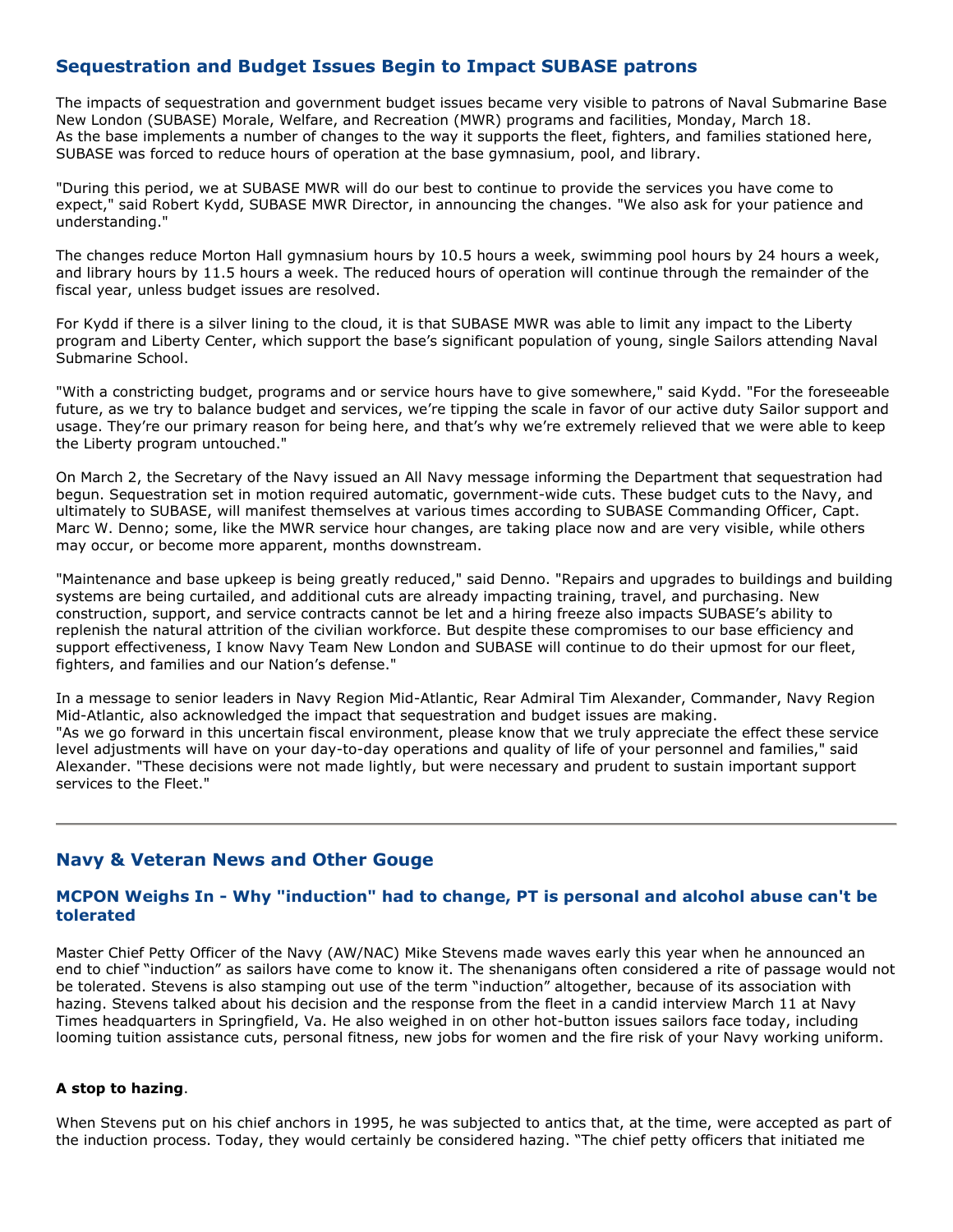# **Sequestration and Budget Issues Begin to Impact SUBASE patrons**

The impacts of sequestration and government budget issues became very visible to patrons of Naval Submarine Base New London (SUBASE) Morale, Welfare, and Recreation (MWR) programs and facilities, Monday, March 18. As the base implements a number of changes to the way it supports the fleet, fighters, and families stationed here, SUBASE was forced to reduce hours of operation at the base gymnasium, pool, and library.

"During this period, we at SUBASE MWR will do our best to continue to provide the services you have come to expect," said Robert Kydd, SUBASE MWR Director, in announcing the changes. "We also ask for your patience and understanding."

The changes reduce Morton Hall gymnasium hours by 10.5 hours a week, swimming pool hours by 24 hours a week, and library hours by 11.5 hours a week. The reduced hours of operation will continue through the remainder of the fiscal year, unless budget issues are resolved.

For Kydd if there is a silver lining to the cloud, it is that SUBASE MWR was able to limit any impact to the Liberty program and Liberty Center, which support the base's significant population of young, single Sailors attending Naval Submarine School.

"With a constricting budget, programs and or service hours have to give somewhere," said Kydd. "For the foreseeable future, as we try to balance budget and services, we're tipping the scale in favor of our active duty Sailor support and usage. They're our primary reason for being here, and that's why we're extremely relieved that we were able to keep the Liberty program untouched."

On March 2, the Secretary of the Navy issued an All Navy message informing the Department that sequestration had begun. Sequestration set in motion required automatic, government-wide cuts. These budget cuts to the Navy, and ultimately to SUBASE, will manifest themselves at various times according to SUBASE Commanding Officer, Capt. Marc W. Denno; some, like the MWR service hour changes, are taking place now and are very visible, while others may occur, or become more apparent, months downstream.

"Maintenance and base upkeep is being greatly reduced," said Denno. "Repairs and upgrades to buildings and building systems are being curtailed, and additional cuts are already impacting training, travel, and purchasing. New construction, support, and service contracts cannot be let and a hiring freeze also impacts SUBASE's ability to replenish the natural attrition of the civilian workforce. But despite these compromises to our base efficiency and support effectiveness, I know Navy Team New London and SUBASE will continue to do their upmost for our fleet, fighters, and families and our Nation's defense."

In a message to senior leaders in Navy Region Mid-Atlantic, Rear Admiral Tim Alexander, Commander, Navy Region Mid-Atlantic, also acknowledged the impact that sequestration and budget issues are making. "As we go forward in this uncertain fiscal environment, please know that we truly appreciate the effect these service level adjustments will have on your day-to-day operations and quality of life of your personnel and families," said Alexander. "These decisions were not made lightly, but were necessary and prudent to sustain important support services to the Fleet."

# **Navy & Veteran News and Other Gouge**

### **MCPON Weighs In - Why "induction" had to change, PT is personal and alcohol abuse can't be tolerated**

Master Chief Petty Officer of the Navy (AW/NAC) Mike Stevens made waves early this year when he announced an end to chief "induction" as sailors have come to know it. The shenanigans often considered a rite of passage would not be tolerated. Stevens is also stamping out use of the term "induction" altogether, because of its association with hazing. Stevens talked about his decision and the response from the fleet in a candid interview March 11 at Navy Times headquarters in Springfield, Va. He also weighed in on other hot-button issues sailors face today, including looming tuition assistance cuts, personal fitness, new jobs for women and the fire risk of your Navy working uniform.

### **A stop to hazing**.

When Stevens put on his chief anchors in 1995, he was subjected to antics that, at the time, were accepted as part of the induction process. Today, they would certainly be considered hazing. "The chief petty officers that initiated me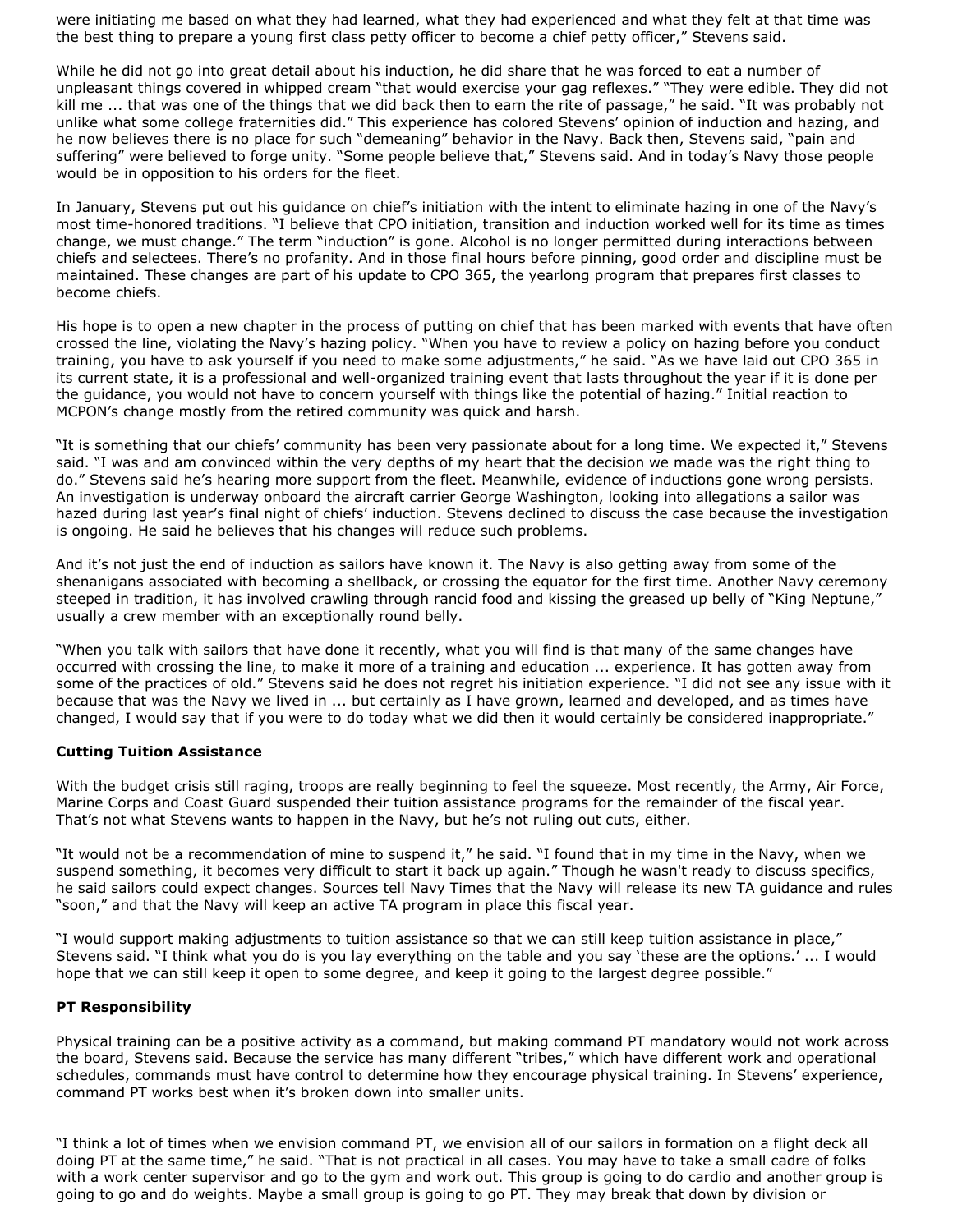were initiating me based on what they had learned, what they had experienced and what they felt at that time was the best thing to prepare a young first class petty officer to become a chief petty officer," Stevens said.

While he did not go into great detail about his induction, he did share that he was forced to eat a number of unpleasant things covered in whipped cream "that would exercise your gag reflexes." "They were edible. They did not kill me ... that was one of the things that we did back then to earn the rite of passage," he said. "It was probably not unlike what some college fraternities did." This experience has colored Stevens' opinion of induction and hazing, and he now believes there is no place for such "demeaning" behavior in the Navy. Back then, Stevens said, "pain and suffering" were believed to forge unity. "Some people believe that," Stevens said. And in today's Navy those people would be in opposition to his orders for the fleet.

In January, Stevens put out his guidance on chief's initiation with the intent to eliminate hazing in one of the Navy's most time-honored traditions. "I believe that CPO initiation, transition and induction worked well for its time as times change, we must change." The term "induction" is gone. Alcohol is no longer permitted during interactions between chiefs and selectees. There's no profanity. And in those final hours before pinning, good order and discipline must be maintained. These changes are part of his update to CPO 365, the yearlong program that prepares first classes to become chiefs.

His hope is to open a new chapter in the process of putting on chief that has been marked with events that have often crossed the line, violating the Navy's hazing policy. "When you have to review a policy on hazing before you conduct training, you have to ask yourself if you need to make some adjustments," he said. "As we have laid out CPO 365 in its current state, it is a professional and well-organized training event that lasts throughout the year if it is done per the guidance, you would not have to concern yourself with things like the potential of hazing." Initial reaction to MCPON's change mostly from the retired community was quick and harsh.

"It is something that our chiefs' community has been very passionate about for a long time. We expected it," Stevens said. "I was and am convinced within the very depths of my heart that the decision we made was the right thing to do." Stevens said he's hearing more support from the fleet. Meanwhile, evidence of inductions gone wrong persists. An investigation is underway onboard the aircraft carrier George Washington, looking into allegations a sailor was hazed during last year's final night of chiefs' induction. Stevens declined to discuss the case because the investigation is ongoing. He said he believes that his changes will reduce such problems.

And it's not just the end of induction as sailors have known it. The Navy is also getting away from some of the shenanigans associated with becoming a shellback, or crossing the equator for the first time. Another Navy ceremony steeped in tradition, it has involved crawling through rancid food and kissing the greased up belly of "King Neptune," usually a crew member with an exceptionally round belly.

"When you talk with sailors that have done it recently, what you will find is that many of the same changes have occurred with crossing the line, to make it more of a training and education ... experience. It has gotten away from some of the practices of old." Stevens said he does not regret his initiation experience. "I did not see any issue with it because that was the Navy we lived in ... but certainly as I have grown, learned and developed, and as times have changed, I would say that if you were to do today what we did then it would certainly be considered inappropriate."

### **Cutting Tuition Assistance**

With the budget crisis still raging, troops are really beginning to feel the squeeze. Most recently, the Army, Air Force, Marine Corps and Coast Guard suspended their tuition assistance programs for the remainder of the fiscal year. That's not what Stevens wants to happen in the Navy, but he's not ruling out cuts, either.

"It would not be a recommendation of mine to suspend it," he said. "I found that in my time in the Navy, when we suspend something, it becomes very difficult to start it back up again." Though he wasn't ready to discuss specifics, he said sailors could expect changes. Sources tell Navy Times that the Navy will release its new TA guidance and rules "soon," and that the Navy will keep an active TA program in place this fiscal year.

"I would support making adjustments to tuition assistance so that we can still keep tuition assistance in place," Stevens said. "I think what you do is you lay everything on the table and you say 'these are the options.' ... I would hope that we can still keep it open to some degree, and keep it going to the largest degree possible."

#### **PT Responsibility**

Physical training can be a positive activity as a command, but making command PT mandatory would not work across the board, Stevens said. Because the service has many different "tribes," which have different work and operational schedules, commands must have control to determine how they encourage physical training. In Stevens' experience, command PT works best when it's broken down into smaller units.

"I think a lot of times when we envision command PT, we envision all of our sailors in formation on a flight deck all doing PT at the same time," he said. "That is not practical in all cases. You may have to take a small cadre of folks with a work center supervisor and go to the gym and work out. This group is going to do cardio and another group is going to go and do weights. Maybe a small group is going to go PT. They may break that down by division or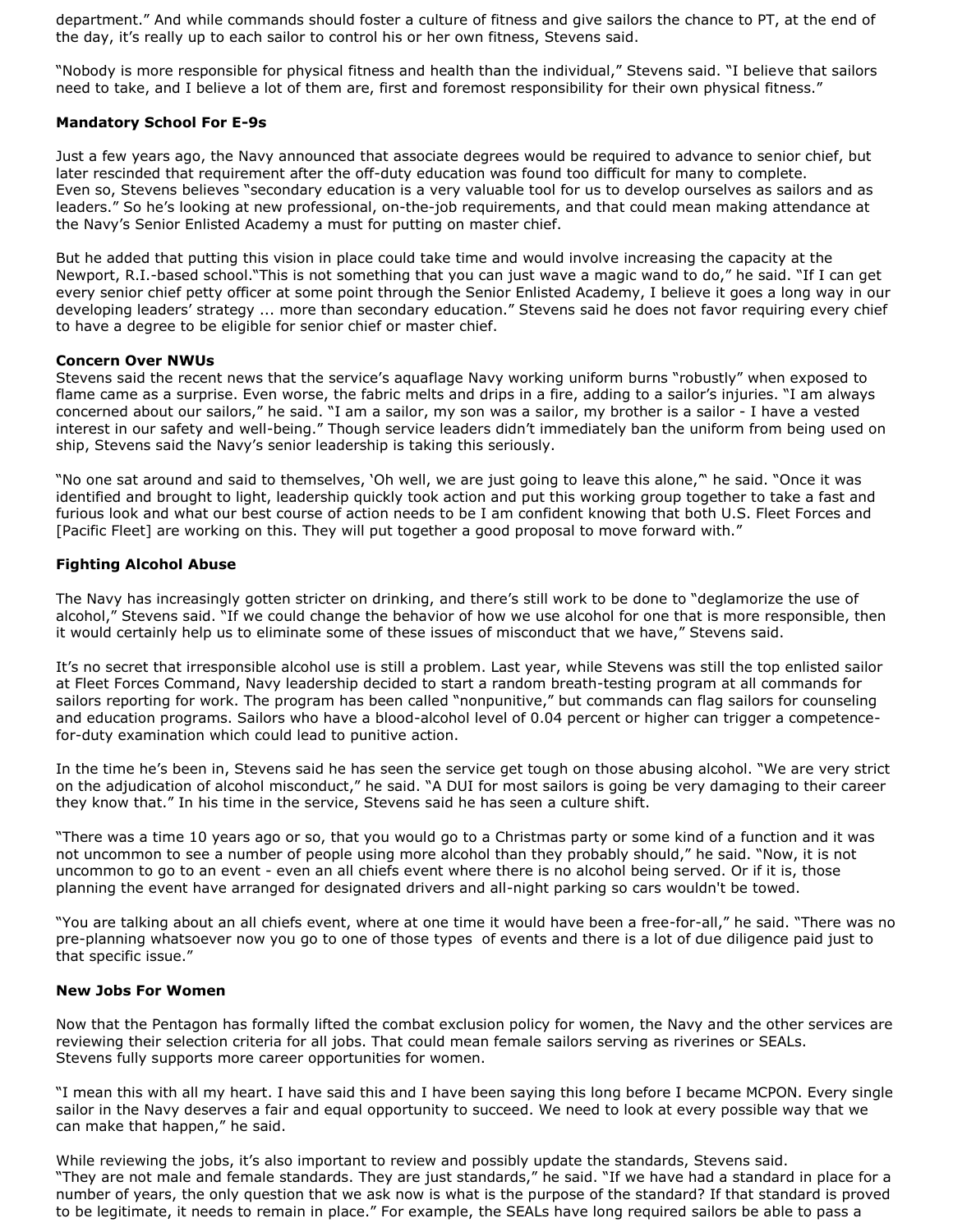department." And while commands should foster a culture of fitness and give sailors the chance to PT, at the end of the day, it's really up to each sailor to control his or her own fitness, Stevens said.

"Nobody is more responsible for physical fitness and health than the individual," Stevens said. "I believe that sailors need to take, and I believe a lot of them are, first and foremost responsibility for their own physical fitness."

#### **Mandatory School For E-9s**

Just a few years ago, the Navy announced that associate degrees would be required to advance to senior chief, but later rescinded that requirement after the off-duty education was found too difficult for many to complete. Even so, Stevens believes "secondary education is a very valuable tool for us to develop ourselves as sailors and as leaders." So he's looking at new professional, on-the-job requirements, and that could mean making attendance at the Navy's Senior Enlisted Academy a must for putting on master chief.

But he added that putting this vision in place could take time and would involve increasing the capacity at the Newport, R.I.-based school."This is not something that you can just wave a magic wand to do," he said. "If I can get every senior chief petty officer at some point through the Senior Enlisted Academy, I believe it goes a long way in our developing leaders' strategy ... more than secondary education." Stevens said he does not favor requiring every chief to have a degree to be eligible for senior chief or master chief.

### **Concern Over NWUs**

Stevens said the recent news that the service's aquaflage Navy working uniform burns "robustly" when exposed to flame came as a surprise. Even worse, the fabric melts and drips in a fire, adding to a sailor's injuries. "I am always concerned about our sailors," he said. "I am a sailor, my son was a sailor, my brother is a sailor - I have a vested interest in our safety and well-being." Though service leaders didn't immediately ban the uniform from being used on ship, Stevens said the Navy's senior leadership is taking this seriously.

"No one sat around and said to themselves, 'Oh well, we are just going to leave this alone,'" he said. "Once it was identified and brought to light, leadership quickly took action and put this working group together to take a fast and furious look and what our best course of action needs to be I am confident knowing that both U.S. Fleet Forces and [Pacific Fleet] are working on this. They will put together a good proposal to move forward with."

### **Fighting Alcohol Abuse**

The Navy has increasingly gotten stricter on drinking, and there's still work to be done to "deglamorize the use of alcohol," Stevens said. "If we could change the behavior of how we use alcohol for one that is more responsible, then it would certainly help us to eliminate some of these issues of misconduct that we have," Stevens said.

It's no secret that irresponsible alcohol use is still a problem. Last year, while Stevens was still the top enlisted sailor at Fleet Forces Command, Navy leadership decided to start a random breath-testing program at all commands for sailors reporting for work. The program has been called "nonpunitive," but commands can flag sailors for counseling and education programs. Sailors who have a blood-alcohol level of 0.04 percent or higher can trigger a competencefor-duty examination which could lead to punitive action.

In the time he's been in, Stevens said he has seen the service get tough on those abusing alcohol. "We are very strict on the adjudication of alcohol misconduct," he said. "A DUI for most sailors is going be very damaging to their career they know that." In his time in the service, Stevens said he has seen a culture shift.

"There was a time 10 years ago or so, that you would go to a Christmas party or some kind of a function and it was not uncommon to see a number of people using more alcohol than they probably should," he said. "Now, it is not uncommon to go to an event - even an all chiefs event where there is no alcohol being served. Or if it is, those planning the event have arranged for designated drivers and all-night parking so cars wouldn't be towed.

"You are talking about an all chiefs event, where at one time it would have been a free-for-all," he said. "There was no pre-planning whatsoever now you go to one of those types of events and there is a lot of due diligence paid just to that specific issue."

#### **New Jobs For Women**

Now that the Pentagon has formally lifted the combat exclusion policy for women, the Navy and the other services are reviewing their selection criteria for all jobs. That could mean female sailors serving as riverines or SEALs. Stevens fully supports more career opportunities for women.

"I mean this with all my heart. I have said this and I have been saying this long before I became MCPON. Every single sailor in the Navy deserves a fair and equal opportunity to succeed. We need to look at every possible way that we can make that happen," he said.

While reviewing the jobs, it's also important to review and possibly update the standards, Stevens said. "They are not male and female standards. They are just standards," he said. "If we have had a standard in place for a number of years, the only question that we ask now is what is the purpose of the standard? If that standard is proved to be legitimate, it needs to remain in place." For example, the SEALs have long required sailors be able to pass a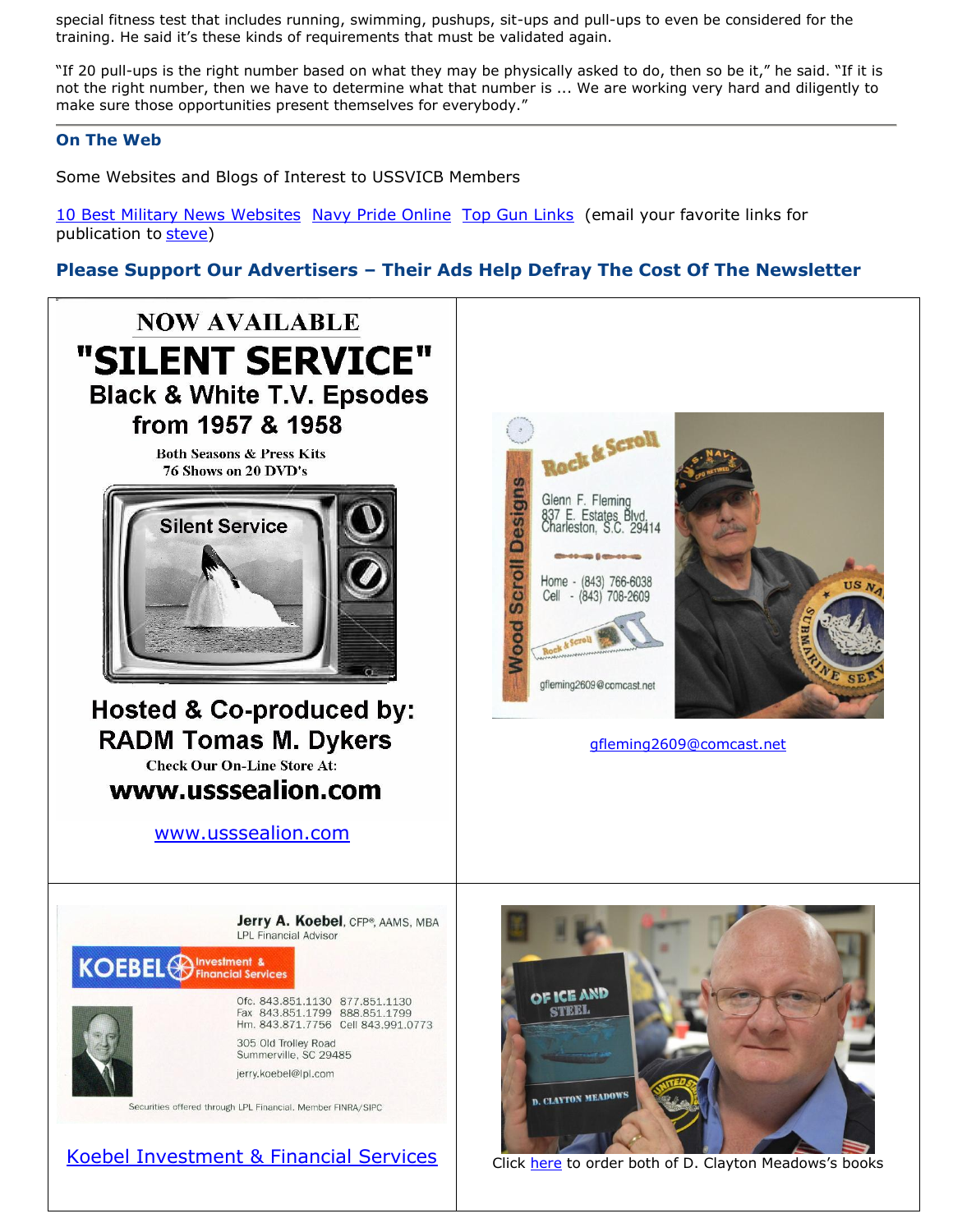special fitness test that includes running, swimming, pushups, sit-ups and pull-ups to even be considered for the training. He said it's these kinds of requirements that must be validated again.

"If 20 pull-ups is the right number based on what they may be physically asked to do, then so be it," he said. "If it is not the right number, then we have to determine what that number is ... We are working very hard and diligently to make sure those opportunities present themselves for everybody."

### **On The Web**

Some Websites and Blogs of Interest to USSVICB Members

[10 Best Military News Websites](http://www.examiner.com/article/the-10-best-military-news-websites) [Navy Pride Online](http://www.navypride.net/) [Top Gun Links](http://www.avguns.com/toplinks/) (email your favorite links for publication to [steve\)](mailto:steven.morawiec@comcast.net)

# **Please Support Our Advertisers – Their Ads Help Defray The Cost Of The Newsletter**